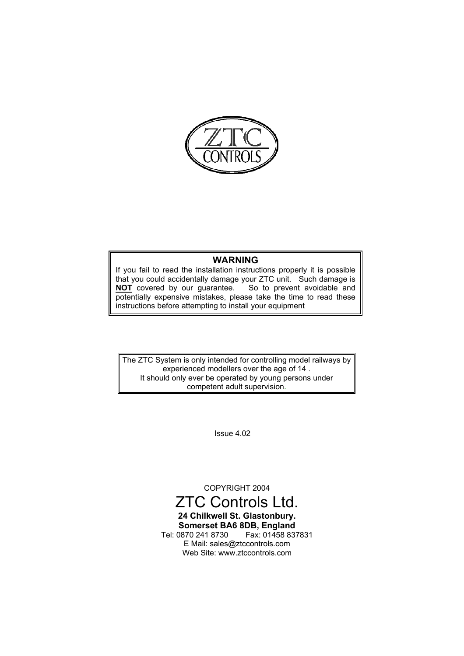

#### **WARNING**

If you fail to read the installation instructions properly it is possible that you could accidentally damage your ZTC unit. Such damage is **NOT** covered by our guarantee. So to prevent avoidable and potentially expensive mistakes, please take the time to read these instructions before attempting to install your equipment

The ZTC System is only intended for controlling model railways by experienced modellers over the age of 14 . It should only ever be operated by young persons under competent adult supervision.

Issue 4.02

COPYRIGHT 2004

#### ZTC Controls Ltd. **24 Chilkwell St. Glastonbury. Somerset BA6 8DB, England** Tel: 0870 241 8730 E Mail: sales@ztccontrols.com Web Site: www.ztccontrols.com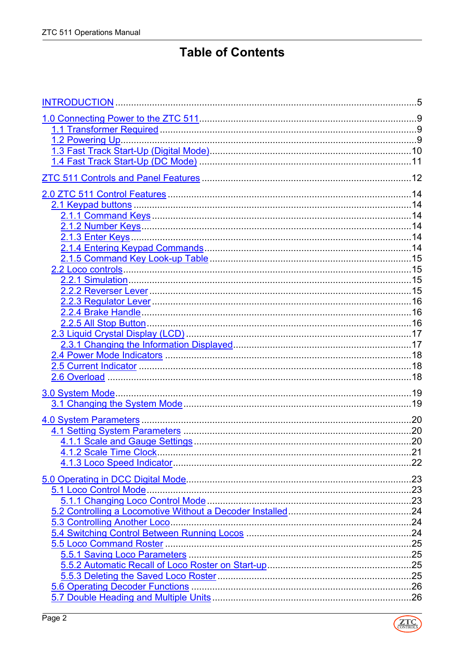# **Table of Contents**

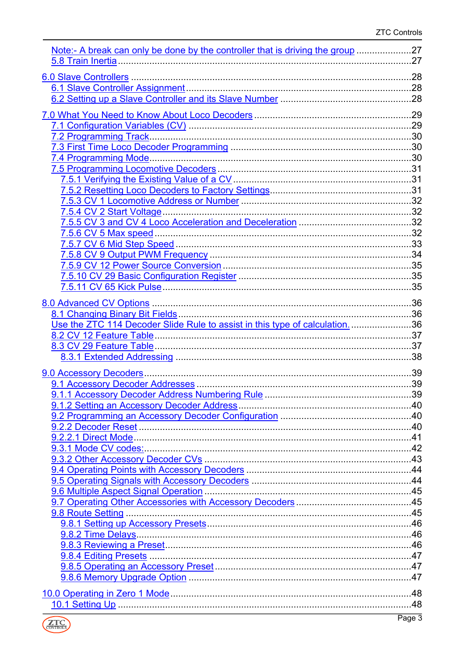| <u>Note:- A break can only be done by the controller that is driving the group</u> 27 |  |
|---------------------------------------------------------------------------------------|--|
|                                                                                       |  |
|                                                                                       |  |
|                                                                                       |  |
|                                                                                       |  |
|                                                                                       |  |
|                                                                                       |  |
|                                                                                       |  |
|                                                                                       |  |
|                                                                                       |  |
|                                                                                       |  |
|                                                                                       |  |
|                                                                                       |  |
|                                                                                       |  |
|                                                                                       |  |
|                                                                                       |  |
|                                                                                       |  |
|                                                                                       |  |
|                                                                                       |  |
|                                                                                       |  |
|                                                                                       |  |
|                                                                                       |  |
|                                                                                       |  |
|                                                                                       |  |
|                                                                                       |  |
| Use the ZTC 114 Decoder Slide Rule to assist in this type of calculation. 36          |  |
|                                                                                       |  |
|                                                                                       |  |
|                                                                                       |  |
|                                                                                       |  |
|                                                                                       |  |
|                                                                                       |  |
|                                                                                       |  |
|                                                                                       |  |
|                                                                                       |  |
|                                                                                       |  |
|                                                                                       |  |
|                                                                                       |  |
|                                                                                       |  |
|                                                                                       |  |
|                                                                                       |  |
|                                                                                       |  |
|                                                                                       |  |
|                                                                                       |  |
|                                                                                       |  |
|                                                                                       |  |
|                                                                                       |  |
|                                                                                       |  |
|                                                                                       |  |
|                                                                                       |  |
|                                                                                       |  |
|                                                                                       |  |

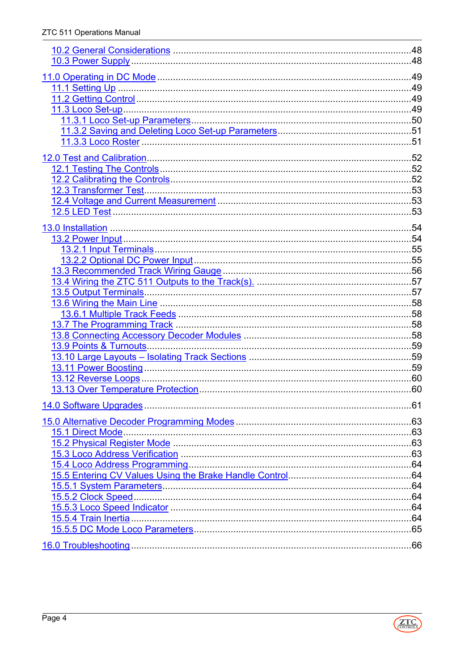| .61 |
|-----|
|     |
|     |
|     |
|     |
|     |
|     |
|     |
|     |
|     |
|     |
|     |
|     |
|     |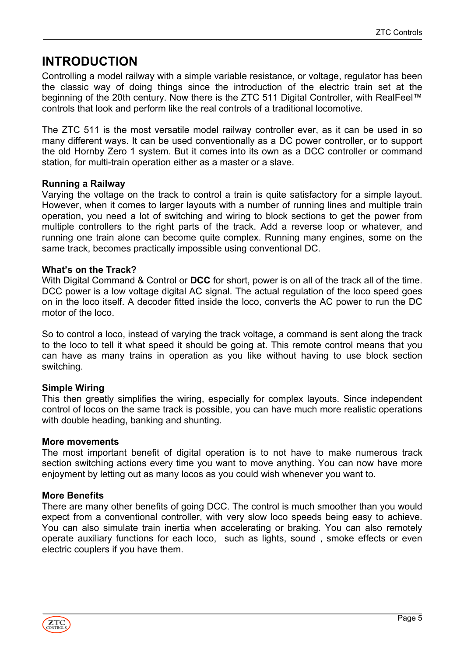# <span id="page-4-0"></span>**INTRODUCTION**

Controlling a model railway with a simple variable resistance, or voltage, regulator has been the classic way of doing things since the introduction of the electric train set at the beginning of the 20th century. Now there is the ZTC 511 Digital Controller, with RealFeel™ controls that look and perform like the real controls of a traditional locomotive.

The ZTC 511 is the most versatile model railway controller ever, as it can be used in so many different ways. It can be used conventionally as a DC power controller, or to support the old Hornby Zero 1 system. But it comes into its own as a DCC controller or command station, for multi-train operation either as a master or a slave.

#### **Running a Railway**

Varying the voltage on the track to control a train is quite satisfactory for a simple layout. However, when it comes to larger layouts with a number of running lines and multiple train operation, you need a lot of switching and wiring to block sections to get the power from multiple controllers to the right parts of the track. Add a reverse loop or whatever, and running one train alone can become quite complex. Running many engines, some on the same track, becomes practically impossible using conventional DC.

#### **What's on the Track?**

With Digital Command & Control or **DCC** for short, power is on all of the track all of the time. DCC power is a low voltage digital AC signal. The actual regulation of the loco speed goes on in the loco itself. A decoder fitted inside the loco, converts the AC power to run the DC motor of the loco.

So to control a loco, instead of varying the track voltage, a command is sent along the track to the loco to tell it what speed it should be going at. This remote control means that you can have as many trains in operation as you like without having to use block section switching.

#### **Simple Wiring**

This then greatly simplifies the wiring, especially for complex layouts. Since independent control of locos on the same track is possible, you can have much more realistic operations with double heading, banking and shunting.

#### **More movements**

The most important benefit of digital operation is to not have to make numerous track section switching actions every time you want to move anything. You can now have more enjoyment by letting out as many locos as you could wish whenever you want to.

#### **More Benefits**

There are many other benefits of going DCC. The control is much smoother than you would expect from a conventional controller, with very slow loco speeds being easy to achieve. You can also simulate train inertia when accelerating or braking. You can also remotely operate auxiliary functions for each loco, such as lights, sound , smoke effects or even electric couplers if you have them.

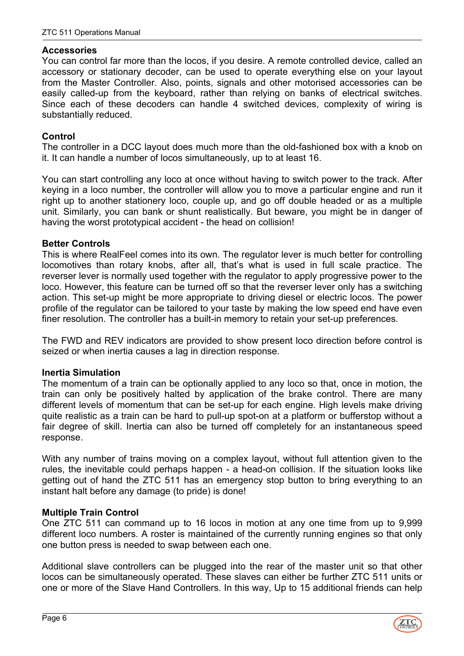#### **Accessories**

You can control far more than the locos, if you desire. A remote controlled device, called an accessory or stationary decoder, can be used to operate everything else on your layout from the Master Controller. Also, points, signals and other motorised accessories can be easily called-up from the keyboard, rather than relying on banks of electrical switches. Since each of these decoders can handle 4 switched devices, complexity of wiring is substantially reduced.

#### **Control**

The controller in a DCC layout does much more than the old-fashioned box with a knob on it. It can handle a number of locos simultaneously, up to at least 16.

You can start controlling any loco at once without having to switch power to the track. After keying in a loco number, the controller will allow you to move a particular engine and run it right up to another stationery loco, couple up, and go off double headed or as a multiple unit. Similarly, you can bank or shunt realistically. But beware, you might be in danger of having the worst prototypical accident - the head on collision!

#### **Better Controls**

This is where RealFeel comes into its own. The regulator lever is much better for controlling locomotives than rotary knobs, after all, that's what is used in full scale practice. The reverser lever is normally used together with the regulator to apply progressive power to the loco. However, this feature can be turned off so that the reverser lever only has a switching action. This set-up might be more appropriate to driving diesel or electric locos. The power profile of the regulator can be tailored to your taste by making the low speed end have even finer resolution. The controller has a built-in memory to retain your set-up preferences.

The FWD and REV indicators are provided to show present loco direction before control is seized or when inertia causes a lag in direction response.

#### **Inertia Simulation**

The momentum of a train can be optionally applied to any loco so that, once in motion, the train can only be positively halted by application of the brake control. There are many different levels of momentum that can be set-up for each engine. High levels make driving quite realistic as a train can be hard to pull-up spot-on at a platform or bufferstop without a fair degree of skill. Inertia can also be turned off completely for an instantaneous speed response.

With any number of trains moving on a complex layout, without full attention given to the rules, the inevitable could perhaps happen - a head-on collision. If the situation looks like getting out of hand the ZTC 511 has an emergency stop button to bring everything to an instant halt before any damage (to pride) is done!

#### **Multiple Train Control**

One ZTC 511 can command up to 16 locos in motion at any one time from up to 9,999 different loco numbers. A roster is maintained of the currently running engines so that only one button press is needed to swap between each one.

Additional slave controllers can be plugged into the rear of the master unit so that other locos can be simultaneously operated. These slaves can either be further ZTC 511 units or one or more of the Slave Hand Controllers. In this way, Up to 15 additional friends can help

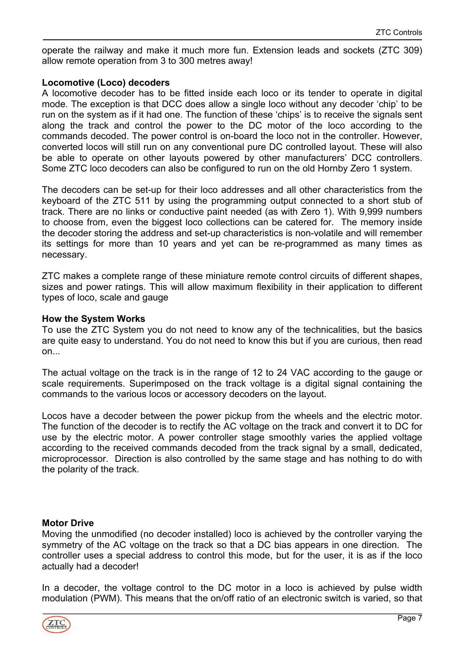operate the railway and make it much more fun. Extension leads and sockets (ZTC 309) allow remote operation from 3 to 300 metres away!

#### **Locomotive (Loco) decoders**

A locomotive decoder has to be fitted inside each loco or its tender to operate in digital mode. The exception is that DCC does allow a single loco without any decoder 'chip' to be run on the system as if it had one. The function of these 'chips' is to receive the signals sent along the track and control the power to the DC motor of the loco according to the commands decoded. The power control is on-board the loco not in the controller. However, converted locos will still run on any conventional pure DC controlled layout. These will also be able to operate on other layouts powered by other manufacturers' DCC controllers. Some ZTC loco decoders can also be configured to run on the old Hornby Zero 1 system.

The decoders can be set-up for their loco addresses and all other characteristics from the keyboard of the ZTC 511 by using the programming output connected to a short stub of track. There are no links or conductive paint needed (as with Zero 1). With 9,999 numbers to choose from, even the biggest loco collections can be catered for. The memory inside the decoder storing the address and set-up characteristics is non-volatile and will remember its settings for more than 10 years and yet can be re-programmed as many times as necessary.

ZTC makes a complete range of these miniature remote control circuits of different shapes, sizes and power ratings. This will allow maximum flexibility in their application to different types of loco, scale and gauge

#### **How the System Works**

To use the ZTC System you do not need to know any of the technicalities, but the basics are quite easy to understand. You do not need to know this but if you are curious, then read on...

The actual voltage on the track is in the range of 12 to 24 VAC according to the gauge or scale requirements. Superimposed on the track voltage is a digital signal containing the commands to the various locos or accessory decoders on the layout.

Locos have a decoder between the power pickup from the wheels and the electric motor. The function of the decoder is to rectify the AC voltage on the track and convert it to DC for use by the electric motor. A power controller stage smoothly varies the applied voltage according to the received commands decoded from the track signal by a small, dedicated, microprocessor. Direction is also controlled by the same stage and has nothing to do with the polarity of the track.

#### **Motor Drive**

Moving the unmodified (no decoder installed) loco is achieved by the controller varying the symmetry of the AC voltage on the track so that a DC bias appears in one direction. The controller uses a special address to control this mode, but for the user, it is as if the loco actually had a decoder!

In a decoder, the voltage control to the DC motor in a loco is achieved by pulse width modulation (PWM). This means that the on/off ratio of an electronic switch is varied, so that

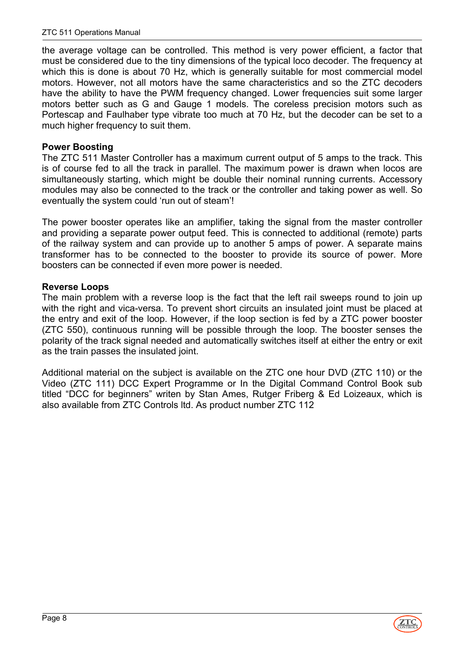the average voltage can be controlled. This method is very power efficient, a factor that must be considered due to the tiny dimensions of the typical loco decoder. The frequency at which this is done is about 70 Hz, which is generally suitable for most commercial model motors. However, not all motors have the same characteristics and so the ZTC decoders have the ability to have the PWM frequency changed. Lower frequencies suit some larger motors better such as G and Gauge 1 models. The coreless precision motors such as Portescap and Faulhaber type vibrate too much at 70 Hz, but the decoder can be set to a much higher frequency to suit them.

#### **Power Boosting**

The ZTC 511 Master Controller has a maximum current output of 5 amps to the track. This is of course fed to all the track in parallel. The maximum power is drawn when locos are simultaneously starting, which might be double their nominal running currents. Accessory modules may also be connected to the track or the controller and taking power as well. So eventually the system could 'run out of steam'!

The power booster operates like an amplifier, taking the signal from the master controller and providing a separate power output feed. This is connected to additional (remote) parts of the railway system and can provide up to another 5 amps of power. A separate mains transformer has to be connected to the booster to provide its source of power. More boosters can be connected if even more power is needed.

#### **Reverse Loops**

The main problem with a reverse loop is the fact that the left rail sweeps round to join up with the right and vica-versa. To prevent short circuits an insulated joint must be placed at the entry and exit of the loop. However, if the loop section is fed by a ZTC power booster (ZTC 550), continuous running will be possible through the loop. The booster senses the polarity of the track signal needed and automatically switches itself at either the entry or exit as the train passes the insulated joint.

Additional material on the subject is available on the ZTC one hour DVD (ZTC 110) or the Video (ZTC 111) DCC Expert Programme or In the Digital Command Control Book sub titled "DCC for beginners" writen by Stan Ames, Rutger Friberg & Ed Loizeaux, which is also available from ZTC Controls ltd. As product number ZTC 112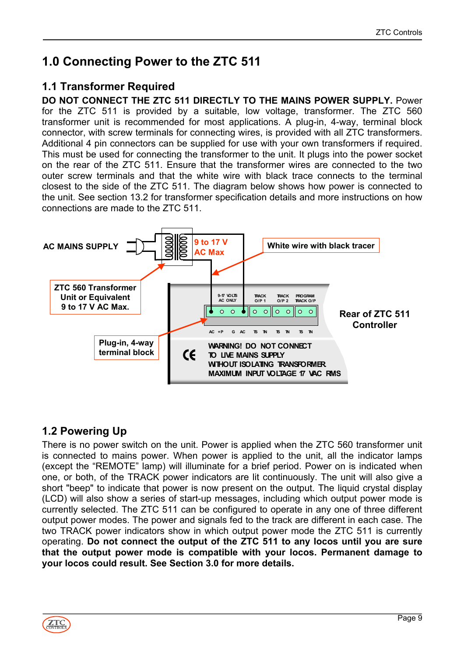# <span id="page-8-0"></span>**1.0 Connecting Power to the ZTC 511**

# <span id="page-8-1"></span>**1.1 Transformer Required**

**DO NOT CONNECT THE ZTC 511 DIRECTLY TO THE MAINS POWER SUPPLY.** Power for the ZTC 511 is provided by a suitable, low voltage, transformer. The ZTC 560 transformer unit is recommended for most applications. A plug-in, 4-way, terminal block connector, with screw terminals for connecting wires, is provided with all ZTC transformers. Additional 4 pin connectors can be supplied for use with your own transformers if required. This must be used for connecting the transformer to the unit. It plugs into the power socket on the rear of the ZTC 511. Ensure that the transformer wires are connected to the two outer screw terminals and that the white wire with black trace connects to the terminal closest to the side of the ZTC 511. The diagram below shows how power is connected to the unit. See section 13.2 for transformer specification details and more instructions on how connections are made to the ZTC 511.



# <span id="page-8-2"></span>**1.2 Powering Up**

There is no power switch on the unit. Power is applied when the ZTC 560 transformer unit is connected to mains power. When power is applied to the unit, all the indicator lamps (except the "REMOTE" lamp) will illuminate for a brief period. Power on is indicated when one, or both, of the TRACK power indicators are lit continuously. The unit will also give a short "beep" to indicate that power is now present on the output. The liquid crystal display (LCD) will also show a series of start-up messages, including which output power mode is currently selected. The ZTC 511 can be configured to operate in any one of three different output power modes. The power and signals fed to the track are different in each case. The two TRACK power indicators show in which output power mode the ZTC 511 is currently operating. **Do not connect the output of the ZTC 511 to any locos until you are sure that the output power mode is compatible with your locos. Permanent damage to your locos could result. See Section 3.0 for more details.**

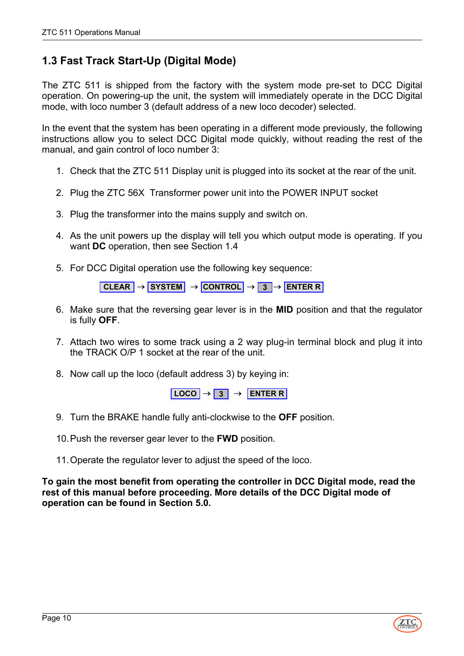# <span id="page-9-0"></span>**1.3 Fast Track Start-Up (Digital Mode)**

The ZTC 511 is shipped from the factory with the system mode pre-set to DCC Digital operation. On powering-up the unit, the system will immediately operate in the DCC Digital mode, with loco number 3 (default address of a new loco decoder) selected.

In the event that the system has been operating in a different mode previously, the following instructions allow you to select DCC Digital mode quickly, without reading the rest of the manual, and gain control of loco number 3:

- 1. Check that the ZTC 511 Display unit is plugged into its socket at the rear of the unit.
- 2. Plug the ZTC 56X Transformer power unit into the POWER INPUT socket
- 3. Plug the transformer into the mains supply and switch on.
- 4. As the unit powers up the display will tell you which output mode is operating. If you want **DC** operation, then see Section 1.4
- 5. For DCC Digital operation use the following key sequence:

**CLEAR** → **SYSTEM** → **CONTROL** → **3** → **ENTER R**

- 6. Make sure that the reversing gear lever is in the **MID** position and that the regulator is fully **OFF**.
- 7. Attach two wires to some track using a 2 way plug-in terminal block and plug it into the TRACK O/P 1 socket at the rear of the unit.
- 8. Now call up the loco (default address 3) by keying in:

 $\begin{array}{|c|c|c|c|c|}\n\hline\n\text{LOCO} & \rightarrow & 3 & \rightarrow & \text{ENTER R}\n\end{array}$ 

- 9. Turn the BRAKE handle fully anti-clockwise to the **OFF** position.
- 10. Push the reverser gear lever to the **FWD** position.
- 11. Operate the regulator lever to adjust the speed of the loco.

**To gain the most benefit from operating the controller in DCC Digital mode, read the rest of this manual before proceeding. More details of the DCC Digital mode of operation can be found in Section 5.0.**

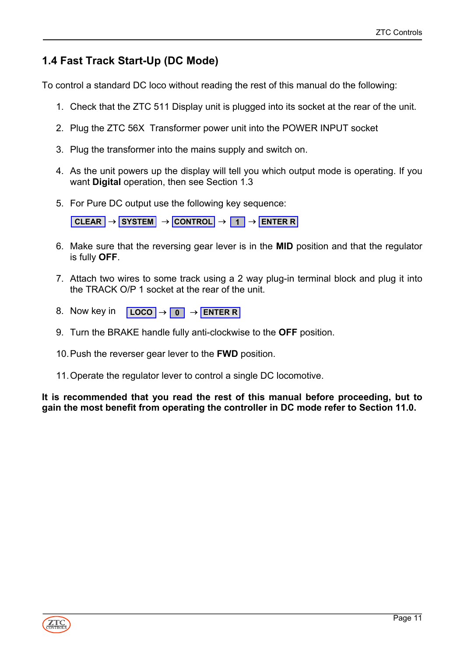# <span id="page-10-0"></span>**1.4 Fast Track Start-Up (DC Mode)**

To control a standard DC loco without reading the rest of this manual do the following:

- 1. Check that the ZTC 511 Display unit is plugged into its socket at the rear of the unit.
- 2. Plug the ZTC 56X Transformer power unit into the POWER INPUT socket
- 3. Plug the transformer into the mains supply and switch on.
- 4. As the unit powers up the display will tell you which output mode is operating. If you want **Digital** operation, then see Section 1.3
- 5. For Pure DC output use the following key sequence:

**CLEAR** → **SYSTEM** → **CONTROL** → **1** → **ENTER R**

- 6. Make sure that the reversing gear lever is in the **MID** position and that the regulator is fully **OFF**.
- 7. Attach two wires to some track using a 2 way plug-in terminal block and plug it into the TRACK O/P 1 socket at the rear of the unit.
- 8. Now key in **LOCO** → **0** → **ENTER R**
- 9. Turn the BRAKE handle fully anti-clockwise to the **OFF** position.
- 10. Push the reverser gear lever to the **FWD** position.
- 11. Operate the regulator lever to control a single DC locomotive.

**It is recommended that you read the rest of this manual before proceeding, but to gain the most benefit from operating the controller in DC mode refer to Section 11.0.**

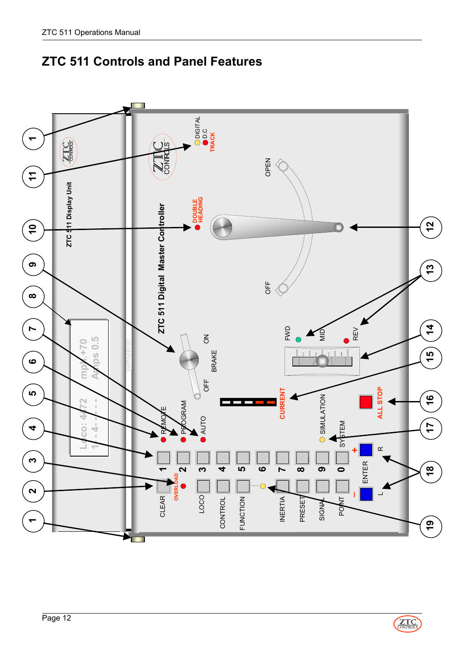

# <span id="page-11-0"></span>**ZTC 511 Controls and Panel Features**

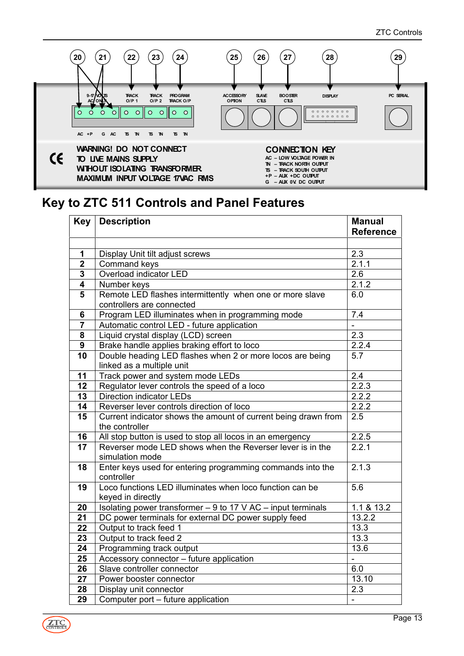

# **Key to ZTC 511 Controls and Panel Features**

| <b>Key</b>     | <b>Description</b>                                              | <b>Manual</b>     |
|----------------|-----------------------------------------------------------------|-------------------|
|                |                                                                 | <b>Reference</b>  |
| 1              | Display Unit tilt adjust screws                                 | 2.3               |
| $\overline{2}$ | Command keys                                                    | 2.1.1             |
| $\mathbf 3$    | Overload indicator LED                                          | 2.6               |
| 4              | Number keys                                                     | 2.1.2             |
| 5              | Remote LED flashes intermittently when one or more slave        | 6.0               |
|                | controllers are connected                                       |                   |
| 6              | Program LED illuminates when in programming mode                | 7.4               |
| $\overline{7}$ | Automatic control LED - future application                      |                   |
| 8              | Liquid crystal display (LCD) screen                             | 2.3               |
| $\overline{9}$ | Brake handle applies braking effort to loco                     | 2.2.4             |
| 10             | Double heading LED flashes when 2 or more locos are being       | 5.7               |
|                | linked as a multiple unit                                       |                   |
| 11             | Track power and system mode LEDs                                | $\overline{2.4}$  |
| 12             | Regulator lever controls the speed of a loco                    | 2.2.3             |
| 13             | <b>Direction indicator LEDs</b>                                 | 2.2.2             |
| 14             | Reverser lever controls direction of loco                       | 2.2.2             |
| 15             | Current indicator shows the amount of current being drawn from  | 2.5               |
|                | the controller                                                  |                   |
| 16             | All stop button is used to stop all locos in an emergency       | 2.2.5             |
| 17             | Reverser mode LED shows when the Reverser lever is in the       | 2.2.1             |
|                | simulation mode                                                 |                   |
| 18             | Enter keys used for entering programming commands into the      | 2.1.3             |
|                | controller                                                      |                   |
| 19             | Loco functions LED illuminates when loco function can be        | 5.6               |
|                | keyed in directly                                               |                   |
| 20             | Isolating power transformer $-9$ to 17 V AC $-$ input terminals | 1.1 & 13.2        |
| 21             | DC power terminals for external DC power supply feed            | 13.2.2            |
| 22             | Output to track feed 1                                          | 13.3              |
| 23             | Output to track feed 2                                          | 13.3              |
| 24             | Programming track output                                        | 13.6              |
| 25             | Accessory connector - future application                        | ÷,                |
| 26             | Slave controller connector                                      | 6.0               |
| 27             | Power booster connector                                         | 13.10             |
| 28             | Display unit connector                                          | 2.3               |
| 29             | Computer port - future application                              | $\qquad \qquad -$ |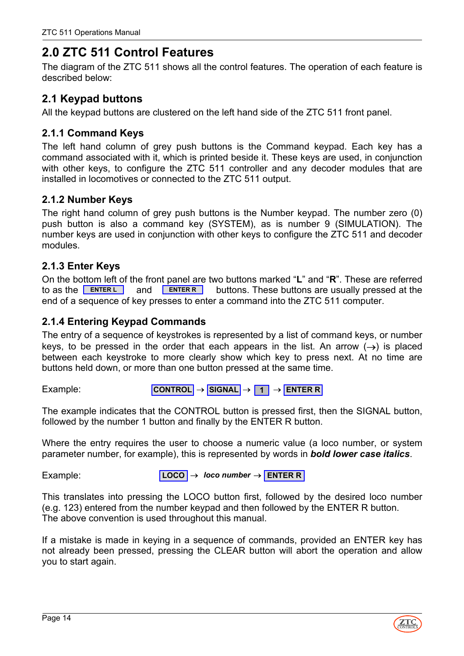# <span id="page-13-0"></span>**2.0 ZTC 511 Control Features**

The diagram of the ZTC 511 shows all the control features. The operation of each feature is described below:

# <span id="page-13-1"></span>**2.1 Keypad buttons**

All the keypad buttons are clustered on the left hand side of the ZTC 511 front panel.

### <span id="page-13-2"></span>**2.1.1 Command Keys**

The left hand column of grey push buttons is the Command keypad. Each key has a command associated with it, which is printed beside it. These keys are used, in conjunction with other keys, to configure the ZTC 511 controller and any decoder modules that are installed in locomotives or connected to the ZTC 511 output.

### <span id="page-13-3"></span>**2.1.2 Number Keys**

The right hand column of grey push buttons is the Number keypad. The number zero (0) push button is also a command key (SYSTEM), as is number 9 (SIMULATION). The number keys are used in conjunction with other keys to configure the ZTC 511 and decoder modules.

### <span id="page-13-4"></span>**2.1.3 Enter Keys**

On the bottom left of the front panel are two buttons marked "**L**" and "**R**". These are referred to as the **ENTERL** and **ENTER B** buttons. These buttons are usually pressed at the end of a sequence of key presses to enter a command into the ZTC 511 computer.

### <span id="page-13-5"></span>**2.1.4 Entering Keypad Commands**

The entry of a sequence of keystrokes is represented by a list of command keys, or number keys, to be pressed in the order that each appears in the list. An arrow  $(\rightarrow)$  is placed between each keystroke to more clearly show which key to press next. At no time are buttons held down, or more than one button pressed at the same time.

Example:

```
CONTROL → SIGNAL → 1 → ENTER R
```
The example indicates that the CONTROL button is pressed first, then the SIGNAL button, followed by the number 1 button and finally by the ENTER R button.

Where the entry requires the user to choose a numeric value (a loco number, or system parameter number, for example), this is represented by words in *bold lower case italics*.

Example:

**LOCO** → *loco number* → **ENTER R**

This translates into pressing the LOCO button first, followed by the desired loco number (e.g. 123) entered from the number keypad and then followed by the ENTER R button. The above convention is used throughout this manual.

If a mistake is made in keying in a sequence of commands, provided an ENTER key has not already been pressed, pressing the CLEAR button will abort the operation and allow you to start again.

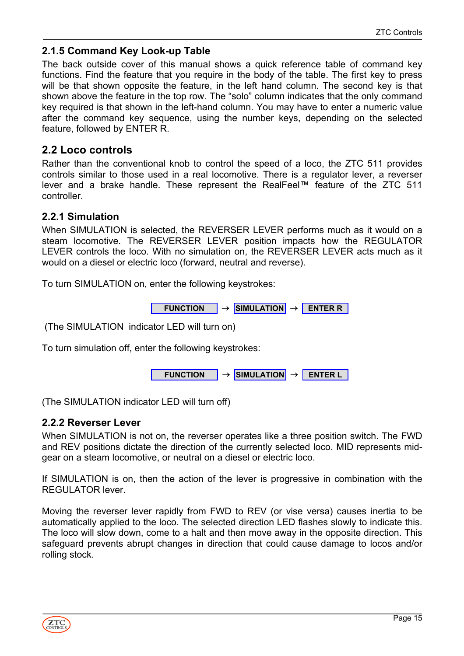### <span id="page-14-0"></span>**2.1.5 Command Key Look-up Table**

The back outside cover of this manual shows a quick reference table of command key functions. Find the feature that you require in the body of the table. The first key to press will be that shown opposite the feature, in the left hand column. The second key is that shown above the feature in the top row. The "solo" column indicates that the only command key required is that shown in the left-hand column. You may have to enter a numeric value after the command key sequence, using the number keys, depending on the selected feature, followed by ENTER R.

# <span id="page-14-1"></span>**2.2 Loco controls**

Rather than the conventional knob to control the speed of a loco, the ZTC 511 provides controls similar to those used in a real locomotive. There is a regulator lever, a reverser lever and a brake handle. These represent the RealFeel™ feature of the ZTC 511 controller.

### <span id="page-14-2"></span>**2.2.1 Simulation**

When SIMULATION is selected, the REVERSER LEVER performs much as it would on a steam locomotive. The REVERSER LEVER position impacts how the REGULATOR LEVER controls the loco. With no simulation on, the REVERSER LEVER acts much as it would on a diesel or electric loco (forward, neutral and reverse).

To turn SIMULATION on, enter the following keystrokes:

**FUNCTION** → **SIMULATION** → **ENTER R**

(The SIMULATION indicator LED will turn on)

To turn simulation off, enter the following keystrokes:



(The SIMULATION indicator LED will turn off)

### <span id="page-14-3"></span>**2.2.2 Reverser Lever**

When SIMULATION is not on, the reverser operates like a three position switch. The FWD and REV positions dictate the direction of the currently selected loco. MID represents midgear on a steam locomotive, or neutral on a diesel or electric loco.

If SIMULATION is on, then the action of the lever is progressive in combination with the REGULATOR lever.

Moving the reverser lever rapidly from FWD to REV (or vise versa) causes inertia to be automatically applied to the loco. The selected direction LED flashes slowly to indicate this. The loco will slow down, come to a halt and then move away in the opposite direction. This safeguard prevents abrupt changes in direction that could cause damage to locos and/or rolling stock.

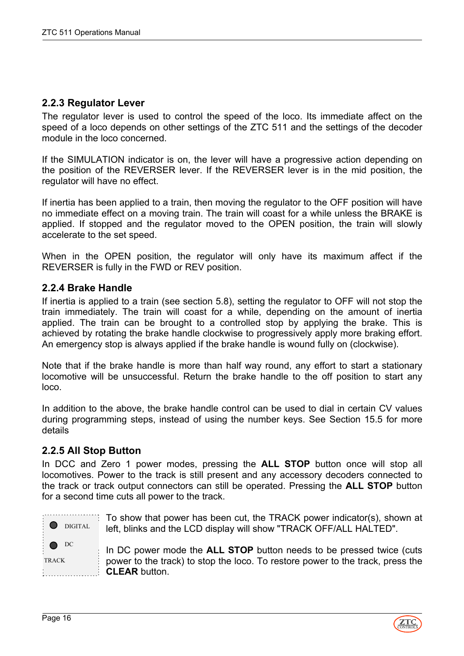#### <span id="page-15-0"></span>**2.2.3 Regulator Lever**

The regulator lever is used to control the speed of the loco. Its immediate affect on the speed of a loco depends on other settings of the ZTC 511 and the settings of the decoder module in the loco concerned.

If the SIMULATION indicator is on, the lever will have a progressive action depending on the position of the REVERSER lever. If the REVERSER lever is in the mid position, the regulator will have no effect.

If inertia has been applied to a train, then moving the regulator to the OFF position will have no immediate effect on a moving train. The train will coast for a while unless the BRAKE is applied. If stopped and the regulator moved to the OPEN position, the train will slowly accelerate to the set speed.

When in the OPEN position, the regulator will only have its maximum affect if the REVERSER is fully in the FWD or REV position.

#### <span id="page-15-1"></span>**2.2.4 Brake Handle**

If inertia is applied to a train (see section 5.8), setting the regulator to OFF will not stop the train immediately. The train will coast for a while, depending on the amount of inertia applied. The train can be brought to a controlled stop by applying the brake. This is achieved by rotating the brake handle clockwise to progressively apply more braking effort. An emergency stop is always applied if the brake handle is wound fully on (clockwise).

Note that if the brake handle is more than half way round, any effort to start a stationary locomotive will be unsuccessful. Return the brake handle to the off position to start any loco.

In addition to the above, the brake handle control can be used to dial in certain CV values during programming steps, instead of using the number keys. See Section 15.5 for more details

#### <span id="page-15-2"></span>**2.2.5 All Stop Button**

In DCC and Zero 1 power modes, pressing the **ALL STOP** button once will stop all locomotives. Power to the track is still present and any accessory decoders connected to the track or track output connectors can still be operated. Pressing the **ALL STOP** button for a second time cuts all power to the track.

**O** DIGITAL DC To show that power has been cut, the TRACK power indicator(s), shown at left, blinks and the LCD display will show "TRACK OFF/ALL HALTED".

TRACK

In DC power mode the **ALL STOP** button needs to be pressed twice (cuts power to the track) to stop the loco. To restore power to the track, press the **CLEAR** button.:<br>L.....................

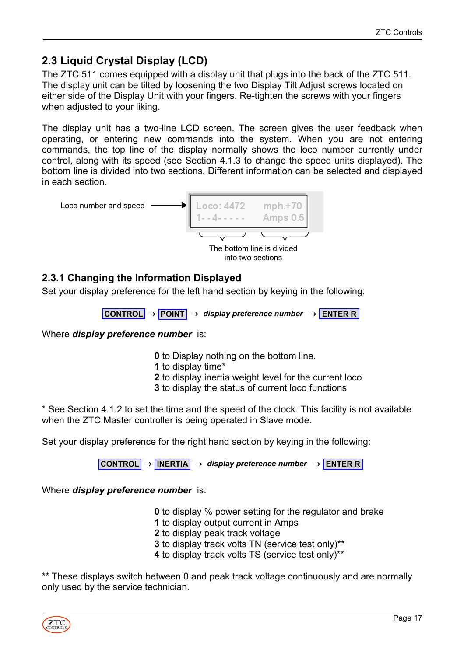# <span id="page-16-0"></span>**2.3 Liquid Crystal Display (LCD)**

The ZTC 511 comes equipped with a display unit that plugs into the back of the ZTC 511. The display unit can be tilted by loosening the two Display Tilt Adjust screws located on either side of the Display Unit with your fingers. Re-tighten the screws with your fingers when adjusted to your liking.

The display unit has a two-line LCD screen. The screen gives the user feedback when operating, or entering new commands into the system. When you are not entering commands, the top line of the display normally shows the loco number currently under control, along with its speed (see Section 4.1.3 to change the speed units displayed). The bottom line is divided into two sections. Different information can be selected and displayed in each section.



into two sections

### <span id="page-16-1"></span>**2.3.1 Changing the Information Displayed**

Set your display preference for the left hand section by keying in the following:

```
CONTROL → POINT → display preference number → ENTER R
```
Where *display preference number* is:

- **0** to Display nothing on the bottom line.
- **1** to display time\*
- **2** to display inertia weight level for the current loco
- **3** to display the status of current loco functions

\* See Section 4.1.2 to set the time and the speed of the clock. This facility is not available when the ZTC Master controller is being operated in Slave mode.

Set your display preference for the right hand section by keying in the following:

**CONTROL** → **INERTIA** → *display preference number* → **ENTER R**

Where *display preference number* is:

- **0** to display % power setting for the regulator and brake
- **1** to display output current in Amps
- **2** to display peak track voltage
- **3** to display track volts TN (service test only)\*\*
- **4** to display track volts TS (service test only)\*\*

\*\* These displays switch between 0 and peak track voltage continuously and are normally only used by the service technician.

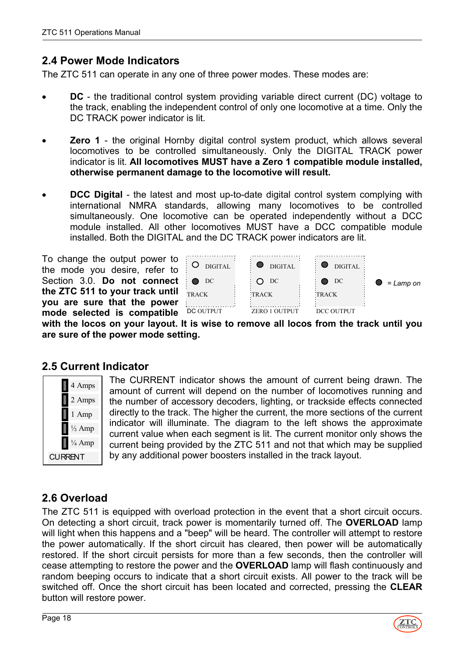# <span id="page-17-0"></span>**2.4 Power Mode Indicators**

The ZTC 511 can operate in any one of three power modes. These modes are:

- **DC** the traditional control system providing variable direct current (DC) voltage to the track, enabling the independent control of only one locomotive at a time. Only the DC TRACK power indicator is lit.
- **Zero 1** the original Hornby digital control system product, which allows several locomotives to be controlled simultaneously. Only the DIGITAL TRACK power indicator is lit. **All locomotives MUST have a Zero 1 compatible module installed, otherwise permanent damage to the locomotive will result.**
- **DCC Digital** the latest and most up-to-date digital control system complying with international NMRA standards, allowing many locomotives to be controlled simultaneously. One locomotive can be operated independently without a DCC module installed. All other locomotives MUST have a DCC compatible module installed. Both the DIGITAL and the DC TRACK power indicators are lit.

To change the output power to the mode you desire, refer to Section 3.0. **Do not connect the ZTC 511 to your track until you are sure that the power mode selected is compatible**



**with the locos on your layout. It is wise to remove all locos from the track until you are sure of the power mode setting.**

### <span id="page-17-1"></span>**2.5 Current Indicator**



The CURRENT indicator shows the amount of current being drawn. The amount of current will depend on the number of locomotives running and the number of accessory decoders, lighting, or trackside effects connected directly to the track. The higher the current, the more sections of the current indicator will illuminate. The diagram to the left shows the approximate current value when each segment is lit. The current monitor only shows the current being provided by the ZTC 511 and not that which may be supplied by any additional power boosters installed in the track layout.

# <span id="page-17-2"></span>**2.6 Overload**

The ZTC 511 is equipped with overload protection in the event that a short circuit occurs. On detecting a short circuit, track power is momentarily turned off. The **OVERLOAD** lamp will light when this happens and a "beep" will be heard. The controller will attempt to restore the power automatically. If the short circuit has cleared, then power will be automatically restored. If the short circuit persists for more than a few seconds, then the controller will cease attempting to restore the power and the **OVERLOAD** lamp will flash continuously and random beeping occurs to indicate that a short circuit exists. All power to the track will be switched off. Once the short circuit has been located and corrected, pressing the **CLEAR** button will restore power.

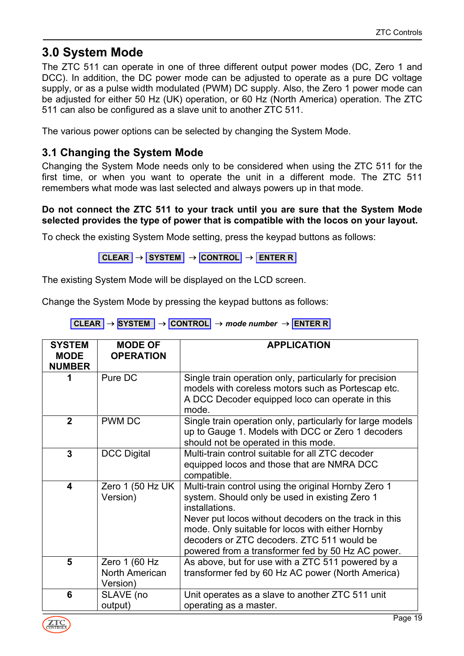# <span id="page-18-0"></span>**3.0 System Mode**

The ZTC 511 can operate in one of three different output power modes (DC, Zero 1 and DCC). In addition, the DC power mode can be adjusted to operate as a pure DC voltage supply, or as a pulse width modulated (PWM) DC supply. Also, the Zero 1 power mode can be adjusted for either 50 Hz (UK) operation, or 60 Hz (North America) operation. The ZTC 511 can also be configured as a slave unit to another ZTC 511.

The various power options can be selected by changing the System Mode.

# <span id="page-18-1"></span>**3.1 Changing the System Mode**

Changing the System Mode needs only to be considered when using the ZTC 511 for the first time, or when you want to operate the unit in a different mode. The ZTC 511 remembers what mode was last selected and always powers up in that mode.

#### **Do not connect the ZTC 511 to your track until you are sure that the System Mode selected provides the type of power that is compatible with the locos on your layout.**

To check the existing System Mode setting, press the keypad buttons as follows:

**CLEAR** → **SYSTEM** → **CONTROL** → **ENTER R**

The existing System Mode will be displayed on the LCD screen.

Change the System Mode by pressing the keypad buttons as follows:

| CLEAR $\rightarrow$ SYSTEM $\rightarrow$ CONTROL $\rightarrow$ mode number $\rightarrow$ ENTER R |  |  |  |
|--------------------------------------------------------------------------------------------------|--|--|--|
|--------------------------------------------------------------------------------------------------|--|--|--|

| <b>SYSTEM</b><br><b>MODE</b><br><b>NUMBER</b> | <b>MODE OF</b><br><b>OPERATION</b>          | <b>APPLICATION</b>                                                                                                                                                                                                                                                                                                                       |
|-----------------------------------------------|---------------------------------------------|------------------------------------------------------------------------------------------------------------------------------------------------------------------------------------------------------------------------------------------------------------------------------------------------------------------------------------------|
| 1                                             | Pure DC                                     | Single train operation only, particularly for precision<br>models with coreless motors such as Portescap etc.<br>A DCC Decoder equipped loco can operate in this<br>mode.                                                                                                                                                                |
| $\mathbf{2}$                                  | <b>PWM DC</b>                               | Single train operation only, particularly for large models<br>up to Gauge 1. Models with DCC or Zero 1 decoders<br>should not be operated in this mode.                                                                                                                                                                                  |
| 3                                             | <b>DCC Digital</b>                          | Multi-train control suitable for all ZTC decoder<br>equipped locos and those that are NMRA DCC<br>compatible.                                                                                                                                                                                                                            |
| 4                                             | Zero 1 (50 Hz UK<br>Version)                | Multi-train control using the original Hornby Zero 1<br>system. Should only be used in existing Zero 1<br>installations.<br>Never put locos without decoders on the track in this<br>mode. Only suitable for locos with either Hornby<br>decoders or ZTC decoders. ZTC 511 would be<br>powered from a transformer fed by 50 Hz AC power. |
| 5                                             | Zero 1 (60 Hz<br>North American<br>Version) | As above, but for use with a ZTC 511 powered by a<br>transformer fed by 60 Hz AC power (North America)                                                                                                                                                                                                                                   |
| 6                                             | SLAVE (no<br>output)                        | Unit operates as a slave to another ZTC 511 unit<br>operating as a master.                                                                                                                                                                                                                                                               |

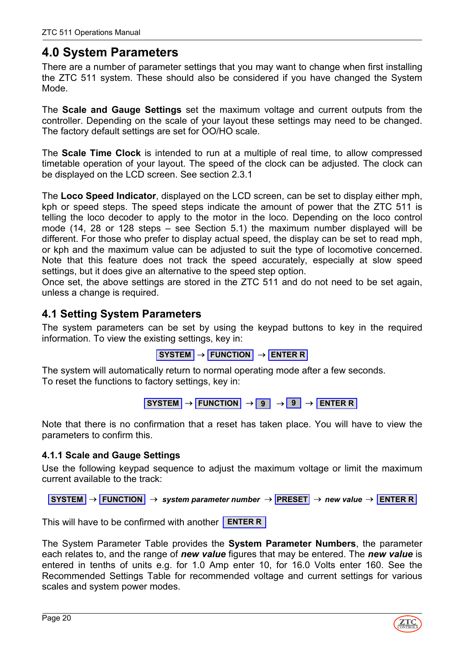# <span id="page-19-0"></span>**4.0 System Parameters**

There are a number of parameter settings that you may want to change when first installing the ZTC 511 system. These should also be considered if you have changed the System Mode.

The **Scale and Gauge Settings** set the maximum voltage and current outputs from the controller. Depending on the scale of your layout these settings may need to be changed. The factory default settings are set for OO/HO scale.

The **Scale Time Clock** is intended to run at a multiple of real time, to allow compressed timetable operation of your layout. The speed of the clock can be adjusted. The clock can be displayed on the LCD screen. See section 2.3.1

The **Loco Speed Indicator**, displayed on the LCD screen, can be set to display either mph, kph or speed steps. The speed steps indicate the amount of power that the ZTC 511 is telling the loco decoder to apply to the motor in the loco. Depending on the loco control mode (14, 28 or 128 steps – see Section 5.1) the maximum number displayed will be different. For those who prefer to display actual speed, the display can be set to read mph, or kph and the maximum value can be adjusted to suit the type of locomotive concerned. Note that this feature does not track the speed accurately, especially at slow speed settings, but it does give an alternative to the speed step option.

Once set, the above settings are stored in the ZTC 511 and do not need to be set again, unless a change is required.

# <span id="page-19-1"></span>**4.1 Setting System Parameters**

The system parameters can be set by using the keypad buttons to key in the required information. To view the existing settings, key in:

```
SYSTEM → FUNCTION → ENTER R
```
The system will automatically return to normal operating mode after a few seconds. To reset the functions to factory settings, key in:

$$
\boxed{\text{ SYSTEM}} \rightarrow \boxed{\text{FUNCTION}} \rightarrow \boxed{9} \rightarrow \boxed{9} \rightarrow \boxed{\text{ENTER R}}
$$

Note that there is no confirmation that a reset has taken place. You will have to view the parameters to confirm this.

#### <span id="page-19-2"></span>**4.1.1 Scale and Gauge Settings**

Use the following keypad sequence to adjust the maximum voltage or limit the maximum current available to the track:

**SYSTEM** → **FUNCTION** → *system parameter number* → **PRESET** → *new value* → **ENTER R**

This will have to be confirmed with another **ENTER R**

The System Parameter Table provides the **System Parameter Numbers**, the parameter each relates to, and the range of *new value* figures that may be entered. The *new value* is entered in tenths of units e.g. for 1.0 Amp enter 10, for 16.0 Volts enter 160. See the Recommended Settings Table for recommended voltage and current settings for various scales and system power modes.

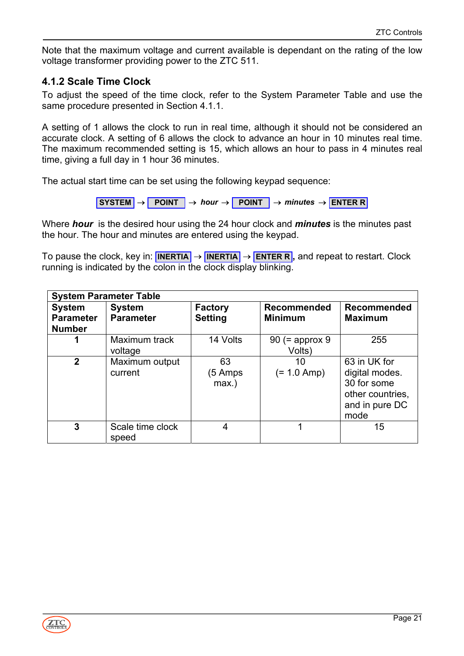Note that the maximum voltage and current available is dependant on the rating of the low voltage transformer providing power to the ZTC 511.

### <span id="page-20-0"></span>**4.1.2 Scale Time Clock**

To adjust the speed of the time clock, refer to the System Parameter Table and use the same procedure presented in Section 4.1.1.

A setting of 1 allows the clock to run in real time, although it should not be considered an accurate clock. A setting of 6 allows the clock to advance an hour in 10 minutes real time. The maximum recommended setting is 15, which allows an hour to pass in 4 minutes real time, giving a full day in 1 hour 36 minutes.

The actual start time can be set using the following keypad sequence:

**SYSTEM** → **POINT** → *hour minutes* → **POINT** → → **ENTER R**

Where *hour* is the desired hour using the 24 hour clock and *minutes* is the minutes past the hour. The hour and minutes are entered using the keypad.

**To pause the clock, key in: <b>INERTIA** → **INERTIA** → **ENTER R**, and repeat to restart. Clock running is indicated by the colon in the clock display blinking.

| <b>System Parameter Table</b>                      |                                   |                                  |                                      |                                                                                             |  |
|----------------------------------------------------|-----------------------------------|----------------------------------|--------------------------------------|---------------------------------------------------------------------------------------------|--|
| <b>System</b><br><b>Parameter</b><br><b>Number</b> | <b>System</b><br><b>Parameter</b> | <b>Factory</b><br><b>Setting</b> | <b>Recommended</b><br><b>Minimum</b> | <b>Recommended</b><br><b>Maximum</b>                                                        |  |
|                                                    | Maximum track<br>voltage          | 14 Volts                         | $90$ (= approx 9<br>Volts)           | 255                                                                                         |  |
| $\mathbf{2}$                                       | Maximum output<br>current         | 63<br>5 Amps<br>$max.$ )         | 10<br>$(= 1.0$ Amp)                  | 63 in UK for<br>digital modes.<br>30 for some<br>other countries,<br>and in pure DC<br>mode |  |
| 3                                                  | Scale time clock<br>speed         | 4                                |                                      | 15                                                                                          |  |

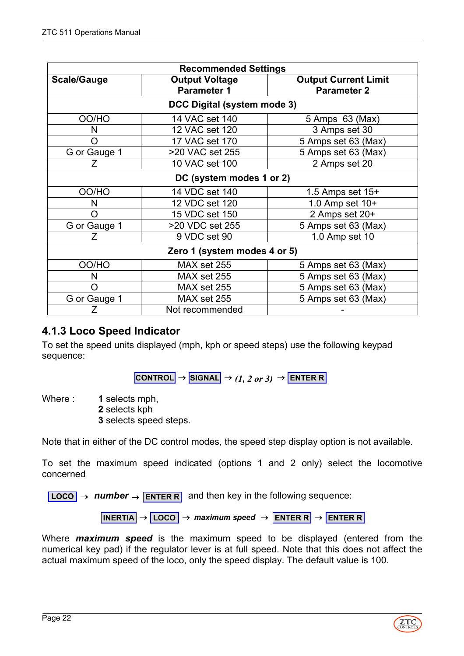| <b>Recommended Settings</b>                                       |                             |                                                   |  |  |  |
|-------------------------------------------------------------------|-----------------------------|---------------------------------------------------|--|--|--|
| <b>Scale/Gauge</b><br><b>Output Voltage</b><br><b>Parameter 1</b> |                             | <b>Output Current Limit</b><br><b>Parameter 2</b> |  |  |  |
|                                                                   | DCC Digital (system mode 3) |                                                   |  |  |  |
| OO/HO                                                             | 14 VAC set 140              | 5 Amps 63 (Max)                                   |  |  |  |
| N                                                                 | 12 VAC set 120              | 3 Amps set 30                                     |  |  |  |
| O                                                                 | 17 VAC set 170              | 5 Amps set 63 (Max)                               |  |  |  |
| G or Gauge 1                                                      | >20 VAC set 255             | 5 Amps set 63 (Max)                               |  |  |  |
| 7                                                                 | 10 VAC set 100              | 2 Amps set 20                                     |  |  |  |
|                                                                   | DC (system modes 1 or 2)    |                                                   |  |  |  |
| OO/HO                                                             | 14 VDC set 140              | 1.5 Amps set $15+$                                |  |  |  |
| N                                                                 | 12 VDC set 120              | 1.0 Amp set 10+                                   |  |  |  |
| Ω                                                                 | 15 VDC set 150              | 2 Amps set 20+                                    |  |  |  |
| G or Gauge 1                                                      | >20 VDC set 255             | 5 Amps set 63 (Max)                               |  |  |  |
| Ζ                                                                 | 9 VDC set 90                | 1.0 Amp set 10                                    |  |  |  |
| Zero 1 (system modes 4 or 5)                                      |                             |                                                   |  |  |  |
| OO/HO                                                             | MAX set 255                 | 5 Amps set 63 (Max)                               |  |  |  |
| N                                                                 | MAX set 255                 | 5 Amps set 63 (Max)                               |  |  |  |
| Ω                                                                 | MAX set 255                 | 5 Amps set 63 (Max)                               |  |  |  |
| G or Gauge 1                                                      | MAX set 255                 | 5 Amps set 63 (Max)                               |  |  |  |
| Ζ                                                                 | Not recommended             |                                                   |  |  |  |

# <span id="page-21-0"></span>**4.1.3 Loco Speed Indicator**

To set the speed units displayed (mph, kph or speed steps) use the following keypad sequence:

 $\overline{\text{CONTROL}}$   $\rightarrow$  **SIGNAL**  $\rightarrow$  *(1, 2 or 3)*  $\rightarrow$  **ENTER R** 

Where : **1** selects mph,

**2** selects kph **3** selects speed steps.

Note that in either of the DC control modes, the speed step display option is not available.

To set the maximum speed indicated (options 1 and 2 only) select the locomotive concerned

 $\overline{LOCO}$  → *number* → **ENTER R** and then key in the following sequence:

**INERTIA** → **LOCO** → *maximum speed* → **ENTER R** → **ENTER R**

Where *maximum speed* is the maximum speed to be displayed (entered from the numerical key pad) if the regulator lever is at full speed. Note that this does not affect the actual maximum speed of the loco, only the speed display. The default value is 100.

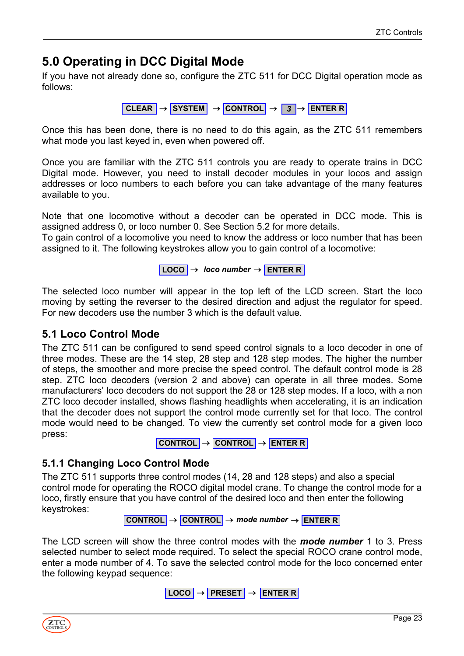# <span id="page-22-0"></span>**5.0 Operating in DCC Digital Mode**

If you have not already done so, configure the ZTC 511 for DCC Digital operation mode as follows:

**CLEAR** → **SYSTEM** → **CONTROL** → *3* → **ENTER R**

Once this has been done, there is no need to do this again, as the ZTC 511 remembers what mode you last keyed in, even when powered off.

Once you are familiar with the ZTC 511 controls you are ready to operate trains in DCC Digital mode. However, you need to install decoder modules in your locos and assign addresses or loco numbers to each before you can take advantage of the many features available to you.

Note that one locomotive without a decoder can be operated in DCC mode. This is assigned address 0, or loco number 0. See Section 5.2 for more details.

To gain control of a locomotive you need to know the address or loco number that has been assigned to it. The following keystrokes allow you to gain control of a locomotive:

**LOCO** → *loco number* → **ENTER R**

The selected loco number will appear in the top left of the LCD screen. Start the loco moving by setting the reverser to the desired direction and adjust the regulator for speed. For new decoders use the number 3 which is the default value.

### <span id="page-22-1"></span>**5.1 Loco Control Mode**

The ZTC 511 can be configured to send speed control signals to a loco decoder in one of three modes. These are the 14 step, 28 step and 128 step modes. The higher the number of steps, the smoother and more precise the speed control. The default control mode is 28 step. ZTC loco decoders (version 2 and above) can operate in all three modes. Some manufacturers' loco decoders do not support the 28 or 128 step modes. If a loco, with a non ZTC loco decoder installed, shows flashing headlights when accelerating, it is an indication that the decoder does not support the control mode currently set for that loco. The control mode would need to be changed. To view the currently set control mode for a given loco press:

**CONTROL** → **CONTROL** → **ENTER R**

### <span id="page-22-2"></span>**5.1.1 Changing Loco Control Mode**

The ZTC 511 supports three control modes (14, 28 and 128 steps) and also a special control mode for operating the ROCO digital model crane. To change the control mode for a loco, firstly ensure that you have control of the desired loco and then enter the following keystrokes:

**CONTROL** → **CONTROL** → *mode number* → **ENTER R**

The LCD screen will show the three control modes with the *mode number* 1 to 3. Press selected number to select mode required. To select the special ROCO crane control mode, enter a mode number of 4. To save the selected control mode for the loco concerned enter the following keypad sequence:

```
LOCO → PRESET → ENTER R
```
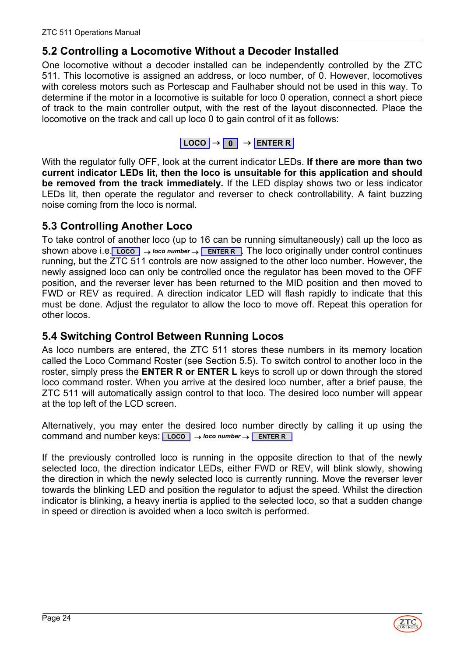# <span id="page-23-0"></span>**5.2 Controlling a Locomotive Without a Decoder Installed**

One locomotive without a decoder installed can be independently controlled by the ZTC 511. This locomotive is assigned an address, or loco number, of 0. However, locomotives with coreless motors such as Portescap and Faulhaber should not be used in this way. To determine if the motor in a locomotive is suitable for loco 0 operation, connect a short piece of track to the main controller output, with the rest of the layout disconnected. Place the locomotive on the track and call up loco 0 to gain control of it as follows:

| $LOGO \rightarrow$ |  |  | → I ENTER R I |
|--------------------|--|--|---------------|
|--------------------|--|--|---------------|

With the regulator fully OFF, look at the current indicator LEDs. **If there are more than two current indicator LEDs lit, then the loco is unsuitable for this application and should be removed from the track immediately.** If the LED display shows two or less indicator LEDs lit, then operate the regulator and reverser to check controllability. A faint buzzing noise coming from the loco is normal.

# <span id="page-23-1"></span>**5.3 Controlling Another Loco**

To take control of another loco (up to 16 can be running simultaneously) call up the loco as shown above i.e. Loco | → *loco number* → ENTER R | The loco originally under control continues running, but the ZTC 511 controls are now assigned to the other loco number. However, the newly assigned loco can only be controlled once the regulator has been moved to the OFF position, and the reverser lever has been returned to the MID position and then moved to FWD or REV as required. A direction indicator LED will flash rapidly to indicate that this must be done. Adjust the regulator to allow the loco to move off. Repeat this operation for other locos.

### <span id="page-23-2"></span>**5.4 Switching Control Between Running Locos**

As loco numbers are entered, the ZTC 511 stores these numbers in its memory location called the Loco Command Roster (see Section 5.5). To switch control to another loco in the roster, simply press the **ENTER R or ENTER L** keys to scroll up or down through the stored loco command roster. When you arrive at the desired loco number, after a brief pause, the ZTC 511 will automatically assign control to that loco. The desired loco number will appear at the top left of the LCD screen.

Alternatively, you may enter the desired loco number directly by calling it up using the command and number keys: **LOCO** → *loco number* → **ENTER R**

If the previously controlled loco is running in the opposite direction to that of the newly selected loco, the direction indicator LEDs, either FWD or REV, will blink slowly, showing the direction in which the newly selected loco is currently running. Move the reverser lever towards the blinking LED and position the regulator to adjust the speed. Whilst the direction indicator is blinking, a heavy inertia is applied to the selected loco, so that a sudden change in speed or direction is avoided when a loco switch is performed.



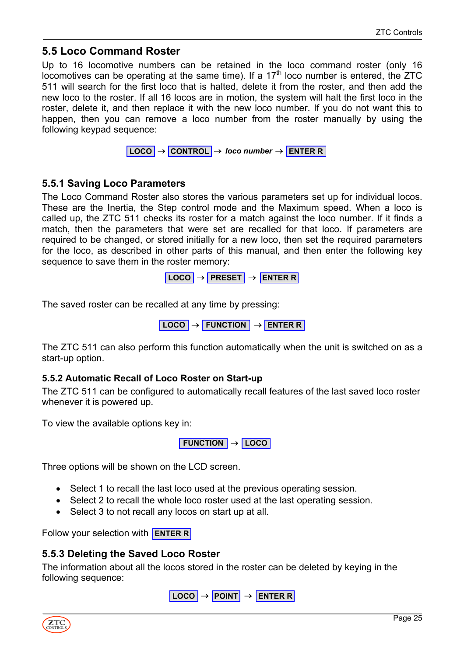### <span id="page-24-0"></span>**5.5 Loco Command Roster**

Up to 16 locomotive numbers can be retained in the loco command roster (only 16 locomotives can be operating at the same time). If a  $17<sup>th</sup>$  loco number is entered, the ZTC 511 will search for the first loco that is halted, delete it from the roster, and then add the new loco to the roster. If all 16 locos are in motion, the system will halt the first loco in the roster, delete it, and then replace it with the new loco number. If you do not want this to happen, then you can remove a loco number from the roster manually by using the following keypad sequence:



### <span id="page-24-1"></span>**5.5.1 Saving Loco Parameters**

The Loco Command Roster also stores the various parameters set up for individual locos. These are the Inertia, the Step control mode and the Maximum speed. When a loco is called up, the ZTC 511 checks its roster for a match against the loco number. If it finds a match, then the parameters that were set are recalled for that loco. If parameters are required to be changed, or stored initially for a new loco, then set the required parameters for the loco, as described in other parts of this manual, and then enter the following key sequence to save them in the roster memory:

**LOCO** → **PRESET** → **ENTER R**

The saved roster can be recalled at any time by pressing:

$$
LOGO \rightarrow
$$
 FUNCTION  $\rightarrow$  ENTER R

The ZTC 511 can also perform this function automatically when the unit is switched on as a start-up option.

#### <span id="page-24-2"></span>**5.5.2 Automatic Recall of Loco Roster on Start-up**

The ZTC 511 can be configured to automatically recall features of the last saved loco roster whenever it is powered up.

To view the available options key in:

**FUNCTION** → **LOCO**

Three options will be shown on the LCD screen.

- Select 1 to recall the last loco used at the previous operating session.
- Select 2 to recall the whole loco roster used at the last operating session.
- Select 3 to not recall any locos on start up at all.

Follow your selection with **ENTER R**

#### <span id="page-24-3"></span>**5.5.3 Deleting the Saved Loco Roster**

The information about all the locos stored in the roster can be deleted by keying in the following sequence:

**LOCO** → **POINT** → **ENTER R**

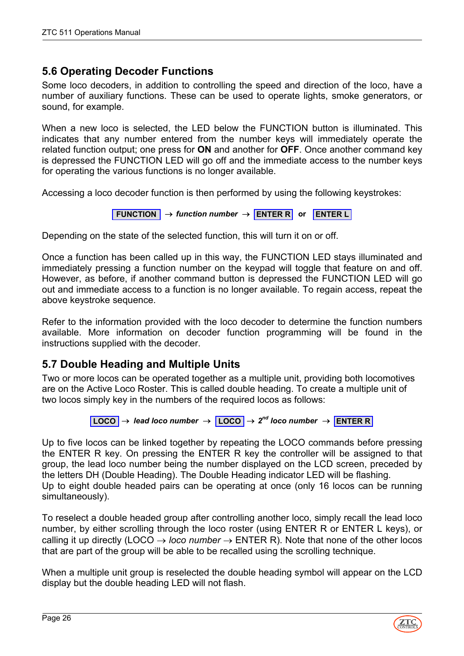# <span id="page-25-0"></span>**5.6 Operating Decoder Functions**

Some loco decoders, in addition to controlling the speed and direction of the loco, have a number of auxiliary functions. These can be used to operate lights, smoke generators, or sound, for example.

When a new loco is selected, the LED below the FUNCTION button is illuminated. This indicates that any number entered from the number keys will immediately operate the related function output; one press for **ON** and another for **OFF**. Once another command key is depressed the FUNCTION LED will go off and the immediate access to the number keys for operating the various functions is no longer available.

Accessing a loco decoder function is then performed by using the following keystrokes:

**FUNCTION** → *function number* → **ENTER R or ENTER L**

Depending on the state of the selected function, this will turn it on or off.

Once a function has been called up in this way, the FUNCTION LED stays illuminated and immediately pressing a function number on the keypad will toggle that feature on and off. However, as before, if another command button is depressed the FUNCTION LED will go out and immediate access to a function is no longer available. To regain access, repeat the above keystroke sequence.

Refer to the information provided with the loco decoder to determine the function numbers available. More information on decoder function programming will be found in the instructions supplied with the decoder.

# <span id="page-25-1"></span>**5.7 Double Heading and Multiple Units**

Two or more locos can be operated together as a multiple unit, providing both locomotives are on the Active Loco Roster. This is called double heading. To create a multiple unit of two locos simply key in the numbers of the required locos as follows:

$$
[LOGO] \rightarrow lead loco number \rightarrow [LOGO] \rightarrow 2^{nd} loco number \rightarrow [ENTER R]
$$

Up to five locos can be linked together by repeating the LOCO commands before pressing the ENTER R key. On pressing the ENTER R key the controller will be assigned to that group, the lead loco number being the number displayed on the LCD screen, preceded by the letters DH (Double Heading). The Double Heading indicator LED will be flashing. Up to eight double headed pairs can be operating at once (only 16 locos can be running simultaneously).

To reselect a double headed group after controlling another loco, simply recall the lead loco number, by either scrolling through the loco roster (using ENTER R or ENTER L keys), or calling it up directly (LOCO  $\rightarrow$  *loco number*  $\rightarrow$  ENTER R). Note that none of the other locos that are part of the group will be able to be recalled using the scrolling technique.

When a multiple unit group is reselected the double heading symbol will appear on the LCD display but the double heading LED will not flash.

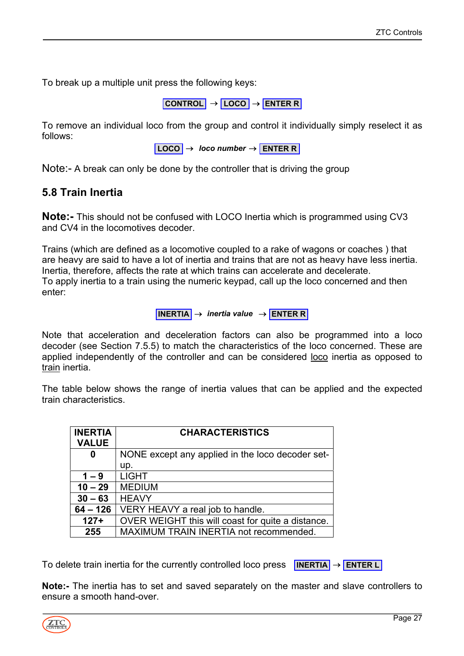To break up a multiple unit press the following keys:

**CONTROL** → **LOCO** → **ENTER R**

To remove an individual loco from the group and control it individually simply reselect it as follows:

**LOCO** → *loco number* → **ENTER R**

<span id="page-26-0"></span>Note:- A break can only be done by the controller that is driving the group

### <span id="page-26-1"></span>**5.8 Train Inertia**

**Note:-** This should not be confused with LOCO Inertia which is programmed using CV3 and CV4 in the locomotives decoder.

Trains (which are defined as a locomotive coupled to a rake of wagons or coaches ) that are heavy are said to have a lot of inertia and trains that are not as heavy have less inertia. Inertia, therefore, affects the rate at which trains can accelerate and decelerate. To apply inertia to a train using the numeric keypad, call up the loco concerned and then enter:

#### **INERTIA** → *inertia value* → **ENTER R**

Note that acceleration and deceleration factors can also be programmed into a loco decoder (see Section 7.5.5) to match the characteristics of the loco concerned. These are applied independently of the controller and can be considered loco inertia as opposed to train inertia.

The table below shows the range of inertia values that can be applied and the expected train characteristics.

| <b>INERTIA</b><br><b>VALUE</b> | <b>CHARACTERISTICS</b>                            |
|--------------------------------|---------------------------------------------------|
| 0                              | NONE except any applied in the loco decoder set-  |
|                                | up.                                               |
| $1 - 9$                        | <b>LIGHT</b>                                      |
| $10 - 29$                      | <b>MEDIUM</b>                                     |
| $30 - 63$                      | <b>HEAVY</b>                                      |
| $64 - 126$                     | VERY HEAVY a real job to handle.                  |
| $127+$                         | OVER WEIGHT this will coast for quite a distance. |
| 255                            | MAXIMUM TRAIN INERTIA not recommended.            |

To delete train inertia for the currently controlled loco press **INERTIA** → **ENTER L**

**Note:-** The inertia has to set and saved separately on the master and slave controllers to ensure a smooth hand-over.

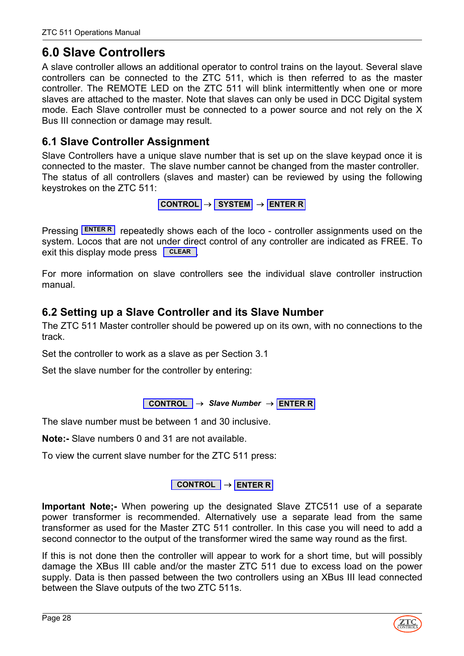# <span id="page-27-0"></span>**6.0 Slave Controllers**

A slave controller allows an additional operator to control trains on the layout. Several slave controllers can be connected to the ZTC 511, which is then referred to as the master controller. The REMOTE LED on the ZTC 511 will blink intermittently when one or more slaves are attached to the master. Note that slaves can only be used in DCC Digital system mode. Each Slave controller must be connected to a power source and not rely on the X Bus III connection or damage may result.

# <span id="page-27-1"></span>**6.1 Slave Controller Assignment**

Slave Controllers have a unique slave number that is set up on the slave keypad once it is connected to the master. The slave number cannot be changed from the master controller. The status of all controllers (slaves and master) can be reviewed by using the following keystrokes on the ZTC 511:

```
CONTROL → SYSTEM → ENTER R
```
Pressing **ENTER R** repeatedly shows each of the loco - controller assignments used on the system. Locos that are not under direct control of any controller are indicated as FREE. To exit this display mode press **CLEAR** 

For more information on slave controllers see the individual slave controller instruction manual.

# <span id="page-27-2"></span>**6.2 Setting up a Slave Controller and its Slave Number**

The ZTC 511 Master controller should be powered up on its own, with no connections to the track.

Set the controller to work as a slave as per Section 3.1

Set the slave number for the controller by entering:

**CONTROL** → *Slave Number* → **ENTER R**

The slave number must be between 1 and 30 inclusive.

**Note:-** Slave numbers 0 and 31 are not available.

To view the current slave number for the ZTC 511 press:

### **CONTROL** → **ENTER R**

**Important Note;-** When powering up the designated Slave ZTC511 use of a separate power transformer is recommended. Alternatively use a separate lead from the same transformer as used for the Master ZTC 511 controller. In this case you will need to add a second connector to the output of the transformer wired the same way round as the first.

If this is not done then the controller will appear to work for a short time, but will possibly damage the XBus III cable and/or the master ZTC 511 due to excess load on the power supply. Data is then passed between the two controllers using an XBus III lead connected between the Slave outputs of the two ZTC 511s.

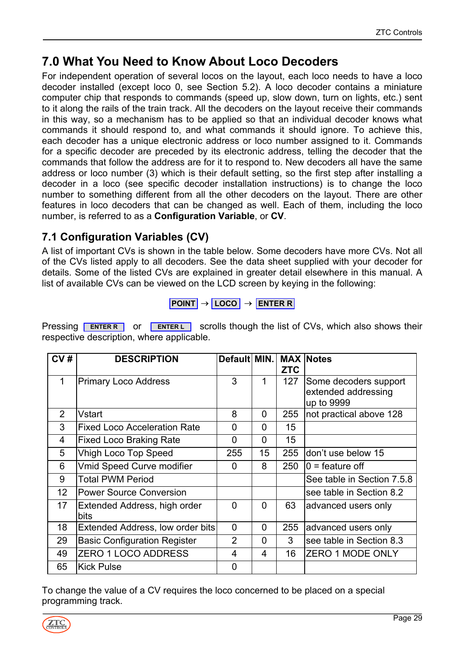# <span id="page-28-0"></span>**7.0 What You Need to Know About Loco Decoders**

For independent operation of several locos on the layout, each loco needs to have a loco decoder installed (except loco 0, see Section 5.2). A loco decoder contains a miniature computer chip that responds to commands (speed up, slow down, turn on lights, etc.) sent to it along the rails of the train track. All the decoders on the layout receive their commands in this way, so a mechanism has to be applied so that an individual decoder knows what commands it should respond to, and what commands it should ignore. To achieve this, each decoder has a unique electronic address or loco number assigned to it. Commands for a specific decoder are preceded by its electronic address, telling the decoder that the commands that follow the address are for it to respond to. New decoders all have the same address or loco number (3) which is their default setting, so the first step after installing a decoder in a loco (see specific decoder installation instructions) is to change the loco number to something different from all the other decoders on the layout. There are other features in loco decoders that can be changed as well. Each of them, including the loco number, is referred to as a **Configuration Variable**, or **CV**.

# <span id="page-28-1"></span>**7.1 Configuration Variables (CV)**

A list of important CVs is shown in the table below. Some decoders have more CVs. Not all of the CVs listed apply to all decoders. See the data sheet supplied with your decoder for details. Some of the listed CVs are explained in greater detail elsewhere in this manual. A list of available CVs can be viewed on the LCD screen by keying in the following:

$$
\fbox{POINT}\rightarrow \fbox{LOCO}\rightarrow \fbox{ENTER R}
$$

**Pressing ENTERR** or **ENTERL** scrolls though the list of CVs, which also shows their respective description, where applicable.

| CV#            | <b>DESCRIPTION</b>                   | Default MIN. MAX Notes |                | <b>ZTC</b> |                                                            |
|----------------|--------------------------------------|------------------------|----------------|------------|------------------------------------------------------------|
| 1              | Primary Loco Address                 | 3                      | 1              | 127        | Some decoders support<br>extended addressing<br>up to 9999 |
| $\overline{2}$ | Vstart                               | 8                      | 0              | 255        | not practical above 128                                    |
| 3              | <b>Fixed Loco Acceleration Rate</b>  | $\overline{0}$         | $\Omega$       | 15         |                                                            |
| 4              | <b>Fixed Loco Braking Rate</b>       | $\mathbf 0$            | $\overline{0}$ | 15         |                                                            |
| 5              | <b>Vhigh Loco Top Speed</b>          | 255                    | 15             | 255        | don't use below 15                                         |
| 6              | <b>Vmid Speed Curve modifier</b>     | 0                      | 8              | 250        | $0 =$ feature off                                          |
| 9              | <b>Total PWM Period</b>              |                        |                |            | See table in Section 7.5.8                                 |
| 12             | <b>Power Source Conversion</b>       |                        |                |            | see table in Section 8.2                                   |
| 17             | Extended Address, high order<br>bits | $\Omega$               | 0              | 63         | advanced users only                                        |
| 18             | Extended Address, low order bits     | $\overline{0}$         | $\overline{0}$ | 255        | advanced users only                                        |
| 29             | <b>Basic Configuration Register</b>  | $\overline{2}$         | $\overline{0}$ | 3          | see table in Section 8.3                                   |
| 49             | ZERO 1 LOCO ADDRESS                  | 4                      | $\overline{4}$ | 16         | <b>ZERO 1 MODE ONLY</b>                                    |
| 65             | <b>Kick Pulse</b>                    | 0                      |                |            |                                                            |

To change the value of a CV requires the loco concerned to be placed on a special programming track.

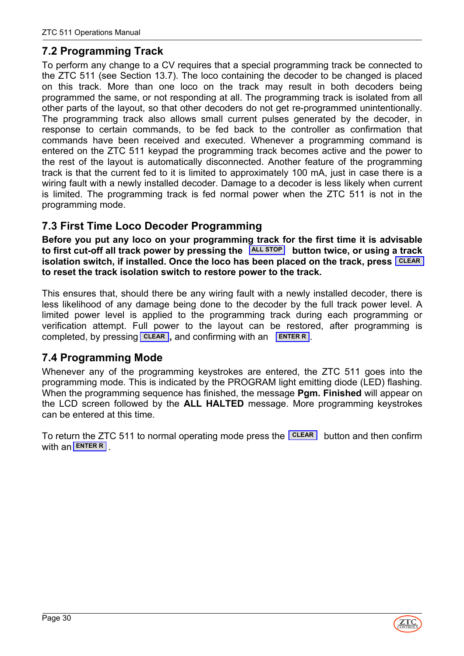# <span id="page-29-0"></span>**7.2 Programming Track**

To perform any change to a CV requires that a special programming track be connected to the ZTC 511 (see Section 13.7). The loco containing the decoder to be changed is placed on this track. More than one loco on the track may result in both decoders being programmed the same, or not responding at all. The programming track is isolated from all other parts of the layout, so that other decoders do not get re-programmed unintentionally. The programming track also allows small current pulses generated by the decoder, in response to certain commands, to be fed back to the controller as confirmation that commands have been received and executed. Whenever a programming command is entered on the ZTC 511 keypad the programming track becomes active and the power to the rest of the layout is automatically disconnected. Another feature of the programming track is that the current fed to it is limited to approximately 100 mA, just in case there is a wiring fault with a newly installed decoder. Damage to a decoder is less likely when current is limited. The programming track is fed normal power when the ZTC 511 is not in the programming mode.

# <span id="page-29-1"></span>**7.3 First Time Loco Decoder Programming**

**Before you put any loco on your programming track for the first time it is advisable** to first cut-off all track power by pressing the  $\frac{|\text{ALL STOP}|}{|\text{MultiOn}}$  button twice, or using a track isolation switch, if installed. Once the loco has been placed on the track, press <mark>LCLEAR</mark> **to reset the track isolation switch to restore power to the track.**

This ensures that, should there be any wiring fault with a newly installed decoder, there is less likelihood of any damage being done to the decoder by the full track power level. A limited power level is applied to the programming track during each programming or verification attempt. Full power to the layout can be restored, after programming is completed, by pressing **CLEAR**, and confirming with an **ENTERR**.

# <span id="page-29-2"></span>**7.4 Programming Mode**

Whenever any of the programming keystrokes are entered, the ZTC 511 goes into the programming mode. This is indicated by the PROGRAM light emitting diode (LED) flashing. When the programming sequence has finished, the message **Pgm. Finished** will appear on the LCD screen followed by the **ALL HALTED** message. More programming keystrokes can be entered at this time.

To return the ZTC 511 to normal operating mode press the LICLEAR button and then confirm with an **ENTER R** .

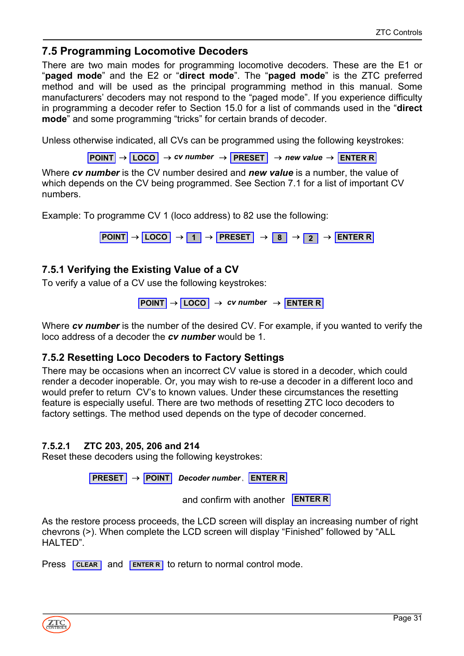### <span id="page-30-0"></span>**7.5 Programming Locomotive Decoders**

There are two main modes for programming locomotive decoders. These are the E1 or "**paged mode**" and the E2 or "**direct mode**". The "**paged mode**" is the ZTC preferred method and will be used as the principal programming method in this manual. Some manufacturers' decoders may not respond to the "paged mode". If you experience difficulty in programming a decoder refer to Section 15.0 for a list of commands used in the "**direct mode**" and some programming "tricks" for certain brands of decoder.

Unless otherwise indicated, all CVs can be programmed using the following keystrokes:

 $\overline{P}\overline{O}$  $\overline{P}\overline{O}$  $\overline{P}$  $\overline{P}$  $\overline{O}$  $\overline{O}$  $\overline{P}$  $\overline{P}$  $\overline{P}$  $\overline{P}$  $\overline{P}$  $\overline{P}$  $\overline{P}$  $\overline{P}$  $\overline{P}$  $\overline{P}$  $\overline{P}$  $\overline{P}$  $\overline{P}$  $\overline{P}$  $\overline{P}$  $\overline{P}$  $\overline{P}$  **\over** 

Where *cv number* is the CV number desired and *new value* is a number, the value of which depends on the CV being programmed. See Section 7.1 for a list of important CV numbers.

Example: To programme CV 1 (loco address) to 82 use the following:

 $\overline{P}\overline{O}$ **NIT**  $\rightarrow$  **LOCO**  $\rightarrow$  **1**  $\rightarrow$  **PRESET**  $\rightarrow$  **8**  $\rightarrow$  **2**  $\rightarrow$  **ENTER R** 

### <span id="page-30-1"></span>**7.5.1 Verifying the Existing Value of a CV**

To verify a value of a CV use the following keystrokes:

```
POINT → LOCO → cv number → ENTER R
```
Where *cv number* is the number of the desired CV. For example, if you wanted to verify the loco address of a decoder the *cv number* would be 1.

### <span id="page-30-2"></span>**7.5.2 Resetting Loco Decoders to Factory Settings**

There may be occasions when an incorrect CV value is stored in a decoder, which could render a decoder inoperable. Or, you may wish to re-use a decoder in a different loco and would prefer to return CV's to known values. Under these circumstances the resetting feature is especially useful. There are two methods of resetting ZTC loco decoders to factory settings. The method used depends on the type of decoder concerned.

#### **7.5.2.1 ZTC 203, 205, 206 and 214**

Reset these decoders using the following keystrokes:

A **PRESET** → **POINT** *Decoder number* **ENTER R**

and confirm with another **ENTER R**

As the restore process proceeds, the LCD screen will display an increasing number of right chevrons (>). When complete the LCD screen will display "Finished" followed by "ALL HALTED".

Press **CLEAR** and **ENTER R** to return to normal control mode.

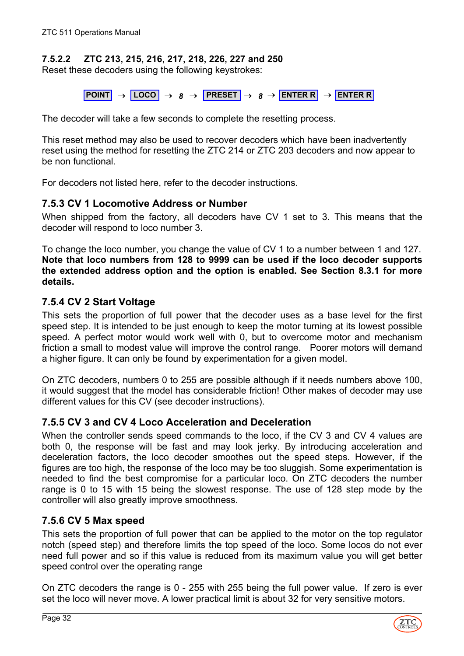### **7.5.2.2 ZTC 213, 215, 216, 217, 218, 226, 227 and 250**

Reset these decoders using the following keystrokes:

 $\overline{POMT} \rightarrow \overline{LOCO} \rightarrow 8 \rightarrow \overline{PRESET} \rightarrow 8 \rightarrow \overline{ENTERR} \rightarrow \overline{ENTERR}$ 

The decoder will take a few seconds to complete the resetting process.

This reset method may also be used to recover decoders which have been inadvertently reset using the method for resetting the ZTC 214 or ZTC 203 decoders and now appear to be non functional.

For decoders not listed here, refer to the decoder instructions.

### <span id="page-31-0"></span>**7.5.3 CV 1 Locomotive Address or Number**

When shipped from the factory, all decoders have CV 1 set to 3. This means that the decoder will respond to loco number 3.

To change the loco number, you change the value of CV 1 to a number between 1 and 127. **Note that loco numbers from 128 to 9999 can be used if the loco decoder supports the extended address option and the option is enabled. See Section 8.3.1 for more details.**

### <span id="page-31-1"></span>**7.5.4 CV 2 Start Voltage**

This sets the proportion of full power that the decoder uses as a base level for the first speed step. It is intended to be just enough to keep the motor turning at its lowest possible speed. A perfect motor would work well with 0, but to overcome motor and mechanism friction a small to modest value will improve the control range. Poorer motors will demand a higher figure. It can only be found by experimentation for a given model.

On ZTC decoders, numbers 0 to 255 are possible although if it needs numbers above 100, it would suggest that the model has considerable friction! Other makes of decoder may use different values for this CV (see decoder instructions).

### <span id="page-31-2"></span>**7.5.5 CV 3 and CV 4 Loco Acceleration and Deceleration**

When the controller sends speed commands to the loco, if the CV 3 and CV 4 values are both 0, the response will be fast and may look jerky. By introducing acceleration and deceleration factors, the loco decoder smoothes out the speed steps. However, if the figures are too high, the response of the loco may be too sluggish. Some experimentation is needed to find the best compromise for a particular loco. On ZTC decoders the number range is 0 to 15 with 15 being the slowest response. The use of 128 step mode by the controller will also greatly improve smoothness.

### <span id="page-31-3"></span>**7.5.6 CV 5 Max speed**

This sets the proportion of full power that can be applied to the motor on the top regulator notch (speed step) and therefore limits the top speed of the loco. Some locos do not ever need full power and so if this value is reduced from its maximum value you will get better speed control over the operating range

On ZTC decoders the range is 0 - 255 with 255 being the full power value. If zero is ever set the loco will never move. A lower practical limit is about 32 for very sensitive motors.

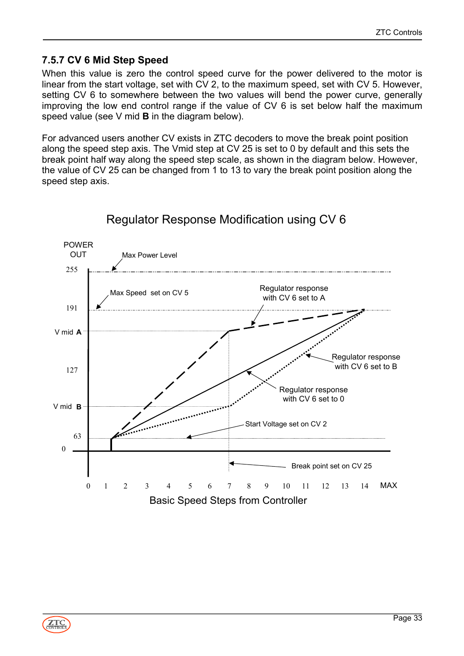### <span id="page-32-0"></span>**7.5.7 CV 6 Mid Step Speed**

When this value is zero the control speed curve for the power delivered to the motor is linear from the start voltage, set with CV 2, to the maximum speed, set with CV 5. However, setting CV 6 to somewhere between the two values will bend the power curve, generally improving the low end control range if the value of CV 6 is set below half the maximum speed value (see V mid **B** in the diagram below).

For advanced users another CV exists in ZTC decoders to move the break point position along the speed step axis. The Vmid step at CV 25 is set to 0 by default and this sets the break point half way along the speed step scale, as shown in the diagram below. However, the value of CV 25 can be changed from 1 to 13 to vary the break point position along the speed step axis.



# Regulator Response Modification using CV 6

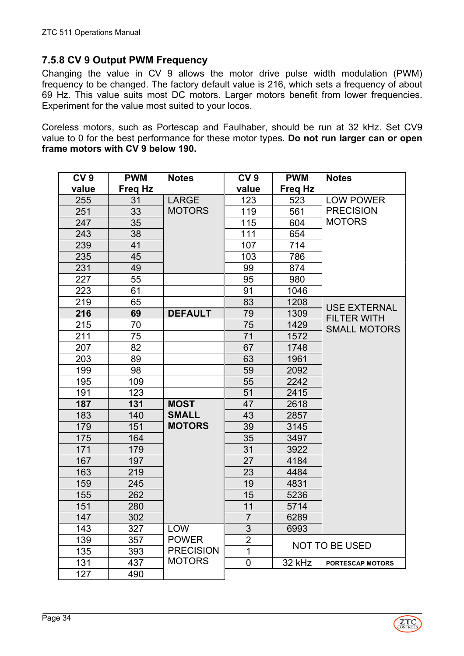### <span id="page-33-0"></span>**7.5.8 CV 9 Output PWM Frequency**

Changing the value in CV 9 allows the motor drive pulse width modulation (PWM) frequency to be changed. The factory default value is 216, which sets a frequency of about 69 Hz. This value suits most DC motors. Larger motors benefit from lower frequencies. Experiment for the value most suited to your locos.

Coreless motors, such as Portescap and Faulhaber, should be run at 32 kHz. Set CV9 value to 0 for the best performance for these motor types. **Do not run larger can or open frame motors with CV 9 below 190.**

| CV <sub>9</sub> | <b>PWM</b> | <b>Notes</b>     | CV <sub>9</sub> | <b>PWM</b>     | <b>Notes</b>            |
|-----------------|------------|------------------|-----------------|----------------|-------------------------|
| value           | Freq Hz    |                  | value           | <b>Freg Hz</b> |                         |
| 255             | 31         | <b>LARGE</b>     | 123             | 523            | <b>LOW POWER</b>        |
| 251             | 33         | <b>MOTORS</b>    | 119             | 561            | <b>PRECISION</b>        |
| 247             | 35         |                  | 115             | 604            | <b>MOTORS</b>           |
| 243             | 38         |                  | 111             | 654            |                         |
| 239             | 41         |                  | 107             | 714            |                         |
| 235             | 45         |                  | 103             | 786            |                         |
| 231             | 49         |                  | 99              | 874            |                         |
| 227             | 55         |                  | 95              | 980            |                         |
| 223             | 61         |                  | 91              | 1046           |                         |
| 219             | 65         |                  | 83              | 1208           | <b>USE EXTERNAL</b>     |
| 216             | 69         | <b>DEFAULT</b>   | 79              | 1309           | <b>FILTER WITH</b>      |
| 215             | 70         |                  | 75              | 1429           | <b>SMALL MOTORS</b>     |
| 211             | 75         |                  | 71              | 1572           |                         |
| 207             | 82         |                  | 67              | 1748           |                         |
| 203             | 89         |                  | 63              | 1961           |                         |
| 199             | 98         |                  | 59              | 2092           |                         |
| 195             | 109        |                  | 55              | 2242           |                         |
| 191             | 123        |                  | 51              | 2415           |                         |
| 187             | 131        | <b>MOST</b>      | 47              | 2618           |                         |
| 183             | 140        | <b>SMALL</b>     | 43              | 2857           |                         |
| 179             | 151        | <b>MOTORS</b>    | 39              | 3145           |                         |
| 175             | 164        |                  | 35              | 3497           |                         |
| 171             | 179        |                  | 31              | 3922           |                         |
| 167             | 197        |                  | 27              | 4184           |                         |
| 163             | 219        |                  | 23              | 4484           |                         |
| 159             | 245        |                  | 19              | 4831           |                         |
| 155             | 262        |                  | 15              | 5236           |                         |
| 151             | 280        |                  | 11              | 5714           |                         |
| 147             | 302        |                  | $\overline{7}$  | 6289           |                         |
| 143             | 327        | <b>LOW</b>       | 3               | 6993           |                         |
| 139             | 357        | <b>POWER</b>     | $\overline{2}$  |                |                         |
| 135             | 393        | <b>PRECISION</b> | 1               |                | <b>NOT TO BE USED</b>   |
| 131             | 437        | <b>MOTORS</b>    | 0               | 32 kHz         | <b>PORTESCAP MOTORS</b> |
| 127             | 490        |                  |                 |                |                         |

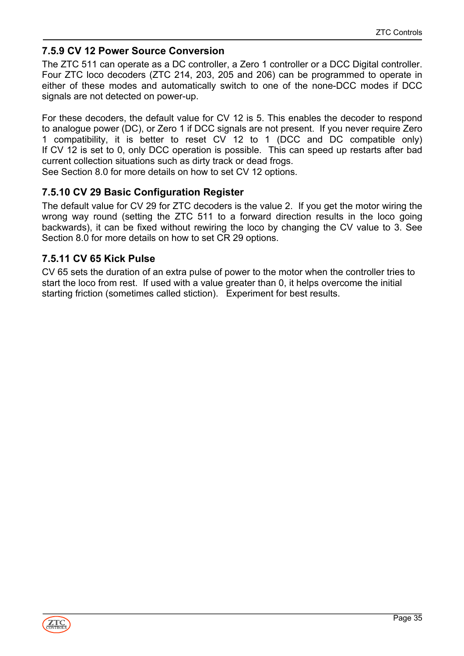### <span id="page-34-0"></span>**7.5.9 CV 12 Power Source Conversion**

The ZTC 511 can operate as a DC controller, a Zero 1 controller or a DCC Digital controller. Four ZTC loco decoders (ZTC 214, 203, 205 and 206) can be programmed to operate in either of these modes and automatically switch to one of the none-DCC modes if DCC signals are not detected on power-up.

For these decoders, the default value for CV 12 is 5. This enables the decoder to respond to analogue power (DC), or Zero 1 if DCC signals are not present. If you never require Zero 1 compatibility, it is better to reset CV 12 to 1 (DCC and DC compatible only) If CV 12 is set to 0, only DCC operation is possible. This can speed up restarts after bad current collection situations such as dirty track or dead frogs.

See Section 8.0 for more details on how to set CV 12 options.

### <span id="page-34-1"></span>**7.5.10 CV 29 Basic Configuration Register**

The default value for CV 29 for ZTC decoders is the value 2. If you get the motor wiring the wrong way round (setting the ZTC 511 to a forward direction results in the loco going backwards), it can be fixed without rewiring the loco by changing the CV value to 3. See Section 8.0 for more details on how to set CR 29 options.

### <span id="page-34-2"></span>**7.5.11 CV 65 Kick Pulse**

CV 65 sets the duration of an extra pulse of power to the motor when the controller tries to start the loco from rest. If used with a value greater than 0, it helps overcome the initial starting friction (sometimes called stiction). Experiment for best results.

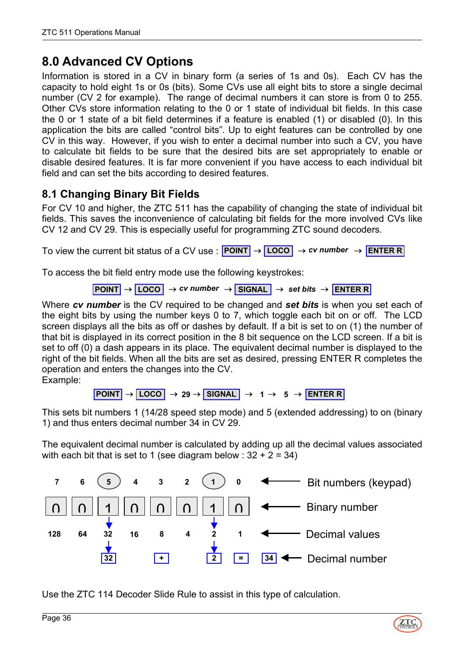# <span id="page-35-0"></span>**8.0 Advanced CV Options**

Information is stored in a CV in binary form (a series of 1s and 0s). Each CV has the capacity to hold eight 1s or 0s (bits). Some CVs use all eight bits to store a single decimal number (CV 2 for example). The range of decimal numbers it can store is from 0 to 255. Other CVs store information relating to the 0 or 1 state of individual bit fields. In this case the 0 or 1 state of a bit field determines if a feature is enabled (1) or disabled (0). In this application the bits are called "control bits". Up to eight features can be controlled by one CV in this way. However, if you wish to enter a decimal number into such a CV, you have to calculate bit fields to be sure that the desired bits are set appropriately to enable or disable desired features. It is far more convenient if you have access to each individual bit field and can set the bits according to desired features.

# <span id="page-35-1"></span>**8.1 Changing Binary Bit Fields**

For CV 10 and higher, the ZTC 511 has the capability of changing the state of individual bit fields. This saves the inconvenience of calculating bit fields for the more involved CVs like CV 12 and CV 29. This is especially useful for programming ZTC sound decoders.

To view the current bit status of a CV use : **POINT** → **LOCO** → *cv number* → **ENTER R**

To access the bit field entry mode use the following keystrokes:

**POINT** → **LOCO** → *cv number* → **SIGNAL** → *set bits* → **ENTER R**

Where *cv number* is the CV required to be changed and *set bits* is when you set each of the eight bits by using the number keys 0 to 7, which toggle each bit on or off. The LCD screen displays all the bits as off or dashes by default. If a bit is set to on (1) the number of that bit is displayed in its correct position in the 8 bit sequence on the LCD screen. If a bit is set to off (0) a dash appears in its place. The equivalent decimal number is displayed to the right of the bit fields. When all the bits are set as desired, pressing ENTER R completes the operation and enters the changes into the CV.

Example:

 $\overline{POINT}$   $\rightarrow$   $\overline{LOGO}$   $\rightarrow$  29  $\rightarrow$  **SIGNAL**  $\rightarrow$  1  $\rightarrow$  5  $\rightarrow$  **ENTER R** 

This sets bit numbers 1 (14/28 speed step mode) and 5 (extended addressing) to on (binary 1) and thus enters decimal number 34 in CV 29.

The equivalent decimal number is calculated by adding up all the decimal values associated with each bit that is set to 1 (see diagram below :  $32 + 2 = 34$ )



<span id="page-35-2"></span>Use the ZTC 114 Decoder Slide Rule to assist in this type of calculation.

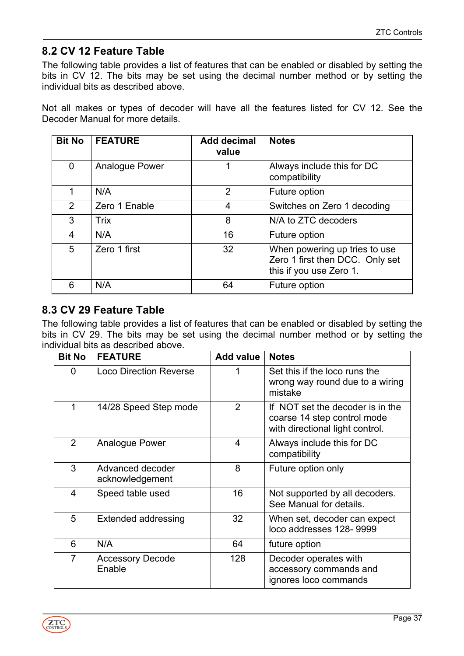# <span id="page-36-0"></span>**8.2 CV 12 Feature Table**

The following table provides a list of features that can be enabled or disabled by setting the bits in CV 12. The bits may be set using the decimal number method or by setting the individual bits as described above.

Not all makes or types of decoder will have all the features listed for CV 12. See the Decoder Manual for more details.

| <b>Bit No</b> | <b>FEATURE</b> | <b>Add decimal</b><br>value | <b>Notes</b>                                                                                |
|---------------|----------------|-----------------------------|---------------------------------------------------------------------------------------------|
| $\mathbf{0}$  | Analogue Power | 1                           | Always include this for DC<br>compatibility                                                 |
|               | N/A            | 2                           | Future option                                                                               |
| 2             | Zero 1 Enable  | $\overline{4}$              | Switches on Zero 1 decoding                                                                 |
| 3             | <b>Trix</b>    | 8                           | N/A to ZTC decoders                                                                         |
| 4             | N/A            | 16                          | Future option                                                                               |
| 5             | Zero 1 first   | 32                          | When powering up tries to use<br>Zero 1 first then DCC. Only set<br>this if you use Zero 1. |
| 6             | N/A            | 64                          | Future option                                                                               |

# <span id="page-36-1"></span>**8.3 CV 29 Feature Table**

The following table provides a list of features that can be enabled or disabled by setting the bits in CV 29. The bits may be set using the decimal number method or by setting the individual bits as described above.

| <b>Bit No</b> | <b>FEATURE</b>                      | <b>Add value</b> | <b>Notes</b>                                                                                       |
|---------------|-------------------------------------|------------------|----------------------------------------------------------------------------------------------------|
| 0             | <b>Loco Direction Reverse</b>       | 1                | Set this if the loco runs the<br>wrong way round due to a wiring<br>mistake                        |
| 1             | 14/28 Speed Step mode               | 2                | If NOT set the decoder is in the<br>coarse 14 step control mode<br>with directional light control. |
| 2             | Analogue Power                      | 4                | Always include this for DC<br>compatibility                                                        |
| 3             | Advanced decoder<br>acknowledgement | 8                | Future option only                                                                                 |
| 4             | Speed table used                    | 16               | Not supported by all decoders.<br>See Manual for details.                                          |
| 5             | <b>Extended addressing</b>          | 32               | When set, decoder can expect<br>loco addresses 128-9999                                            |
| 6             | N/A                                 | 64               | future option                                                                                      |
| 7             | <b>Accessory Decode</b><br>Enable   | 128              | Decoder operates with<br>accessory commands and<br>ignores loco commands                           |

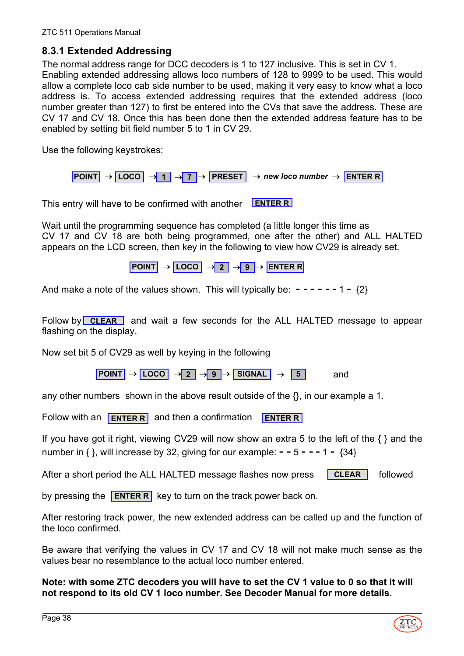#### <span id="page-37-0"></span>**8.3.1 Extended Addressing**

The normal address range for DCC decoders is 1 to 127 inclusive. This is set in CV 1. Enabling extended addressing allows loco numbers of 128 to 9999 to be used. This would allow a complete loco cab side number to be used, making it very easy to know what a loco address is. To access extended addressing requires that the extended address (loco number greater than 127) to first be entered into the CVs that save the address. These are CV 17 and CV 18. Once this has been done then the extended address feature has to be enabled by setting bit field number 5 to 1 in CV 29.

Use the following keystrokes:

**POINT** → **LOCO** → **1** → **7** → **PRESET** → *new loco number* → **ENTER R**

This entry will have to be confirmed with another **ENTER R**

Wait until the programming sequence has completed (a little longer this time as CV 17 and CV 18 are both being programmed, one after the other) and ALL HALTED appears on the LCD screen, then key in the following to view how CV29 is already set.

 $\overline{POMT}$   $\rightarrow$   $\overline{LOCO}$   $\rightarrow$  2  $\rightarrow$  9  $\rightarrow$  **ENTER R** 

And make a note of the values shown. This will typically be:  $- - - - - - 1 - \{2\}$ 

Follow by **CLEAR** and wait a few seconds for the ALL HALTED message to appear flashing on the display.

Now set bit 5 of CV29 as well by keying in the following

 $\boxed{\text{POINT}} \rightarrow \boxed{\text{LOCO}} \rightarrow \boxed{2} \rightarrow \boxed{9} \rightarrow \boxed{\text{SIGNAL}} \rightarrow \boxed{5}$  and

any other numbers shown in the above result outside of the  $\{\}$ , in our example a 1.

**Follow with an <b>ENTER R** and then a confirmation **ENTER R** 

If you have got it right, viewing CV29 will now show an extra 5 to the left of the  $\{\}$  and the number in  $\{ \}$ , will increase by 32, giving for our example:  $-5 - - - 1 - \{34\}$ 

After a short period the ALL HALTED message flashes now press **CLEAR** followed

by pressing the **ENTER R** key to turn on the track power back on.

After restoring track power, the new extended address can be called up and the function of the loco confirmed.

Be aware that verifying the values in CV 17 and CV 18 will not make much sense as the values bear no resemblance to the actual loco number entered.

**Note: with some ZTC decoders you will have to set the CV 1 value to 0 so that it will not respond to its old CV 1 loco number. See Decoder Manual for more details.**

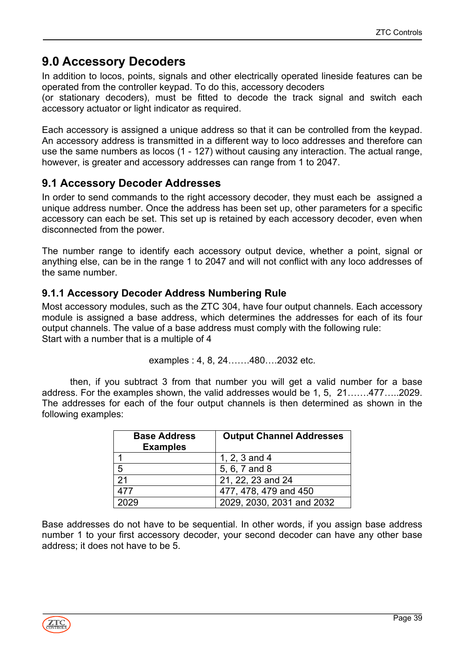# <span id="page-38-0"></span>**9.0 Accessory Decoders**

In addition to locos, points, signals and other electrically operated lineside features can be operated from the controller keypad. To do this, accessory decoders

(or stationary decoders), must be fitted to decode the track signal and switch each accessory actuator or light indicator as required.

Each accessory is assigned a unique address so that it can be controlled from the keypad. An accessory address is transmitted in a different way to loco addresses and therefore can use the same numbers as locos (1 - 127) without causing any interaction. The actual range, however, is greater and accessory addresses can range from 1 to 2047.

# <span id="page-38-1"></span>**9.1 Accessory Decoder Addresses**

In order to send commands to the right accessory decoder, they must each be assigned a unique address number. Once the address has been set up, other parameters for a specific accessory can each be set. This set up is retained by each accessory decoder, even when disconnected from the power.

The number range to identify each accessory output device, whether a point, signal or anything else, can be in the range 1 to 2047 and will not conflict with any loco addresses of the same number.

### <span id="page-38-2"></span>**9.1.1 Accessory Decoder Address Numbering Rule**

Most accessory modules, such as the ZTC 304, have four output channels. Each accessory module is assigned a base address, which determines the addresses for each of its four output channels. The value of a base address must comply with the following rule: Start with a number that is a multiple of 4

examples: 
$$
4, 8, 24, \ldots 480, \ldots 2032
$$
 etc.

then, if you subtract 3 from that number you will get a valid number for a base address. For the examples shown, the valid addresses would be 1, 5, 21…….477…..2029. The addresses for each of the four output channels is then determined as shown in the following examples:

| <b>Base Address</b><br><b>Examples</b> | <b>Output Channel Addresses</b> |  |
|----------------------------------------|---------------------------------|--|
|                                        | 1, 2, 3 and 4                   |  |
| 5                                      | 5, 6, 7 and 8                   |  |
| 21                                     | 21, 22, 23 and 24               |  |
| 477                                    | 477, 478, 479 and 450           |  |
|                                        | 2029, 2030, 2031 and 2032       |  |

Base addresses do not have to be sequential. In other words, if you assign base address number 1 to your first accessory decoder, your second decoder can have any other base address; it does not have to be 5.

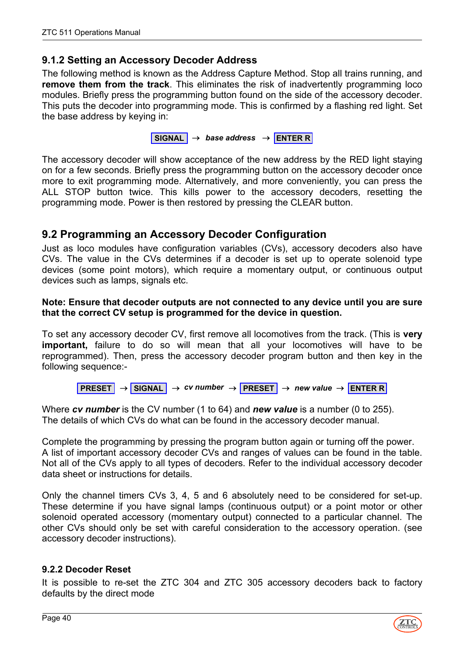### <span id="page-39-0"></span>**9.1.2 Setting an Accessory Decoder Address**

The following method is known as the Address Capture Method. Stop all trains running, and **remove them from the track**. This eliminates the risk of inadvertently programming loco modules. Briefly press the programming button found on the side of the accessory decoder. This puts the decoder into programming mode. This is confirmed by a flashing red light. Set the base address by keying in:

**SIGNAL** → *base address* → **ENTER R**

The accessory decoder will show acceptance of the new address by the RED light staying on for a few seconds. Briefly press the programming button on the accessory decoder once more to exit programming mode. Alternatively, and more conveniently, you can press the ALL STOP button twice. This kills power to the accessory decoders, resetting the programming mode. Power is then restored by pressing the CLEAR button.

# <span id="page-39-1"></span>**9.2 Programming an Accessory Decoder Configuration**

Just as loco modules have configuration variables (CVs), accessory decoders also have CVs. The value in the CVs determines if a decoder is set up to operate solenoid type devices (some point motors), which require a momentary output, or continuous output devices such as lamps, signals etc.

#### **Note: Ensure that decoder outputs are not connected to any device until you are sure that the correct CV setup is programmed for the device in question.**

To set any accessory decoder CV, first remove all locomotives from the track. (This is **very important,** failure to do so will mean that all your locomotives will have to be reprogrammed). Then, press the accessory decoder program button and then key in the following sequence:-

$$
PRESSET \rightarrow \boxed{SIGNAL} \rightarrow cv \ number \rightarrow \boxed{PRESSET} \rightarrow new \ value \rightarrow \boxed{ENTER \ R}
$$

Where *cv number* is the CV number (1 to 64) and *new value* is a number (0 to 255). The details of which CVs do what can be found in the accessory decoder manual.

Complete the programming by pressing the program button again or turning off the power. A list of important accessory decoder CVs and ranges of values can be found in the table. Not all of the CVs apply to all types of decoders. Refer to the individual accessory decoder data sheet or instructions for details.

Only the channel timers CVs 3, 4, 5 and 6 absolutely need to be considered for set-up. These determine if you have signal lamps (continuous output) or a point motor or other solenoid operated accessory (momentary output) connected to a particular channel. The other CVs should only be set with careful consideration to the accessory operation. (see accessory decoder instructions).

#### <span id="page-39-2"></span>**9.2.2 Decoder Reset**

It is possible to re-set the ZTC 304 and ZTC 305 accessory decoders back to factory defaults by the direct mode

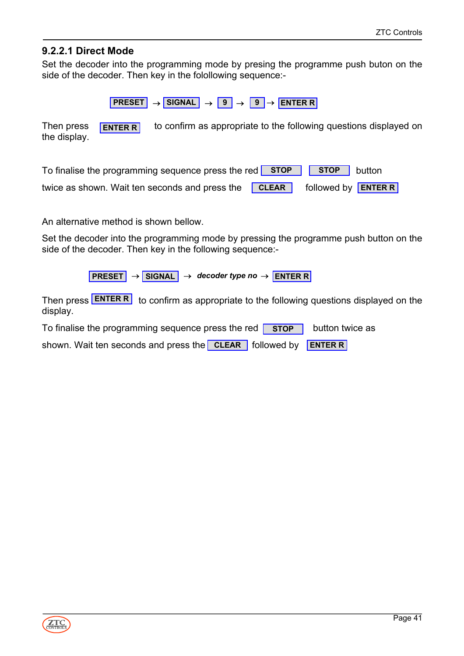#### <span id="page-40-0"></span>**9.2.2.1 Direct Mode**

Set the decoder into the programming mode by presing the programme push buton on the side of the decoder. Then key in the folollowing sequence:-

 $\boxed{\text{PREST}}$   $\rightarrow$  SIGNAL  $\rightarrow$   $\boxed{9}$   $\rightarrow$   $\boxed{9}$   $\rightarrow$  **ENTER R** 

Then press  $\boxed{\text{ENTER}}$  to confirm as appropriate to the following questions displayed on the display. **ENTER R**

| To finalise the programming sequence press the red $\boxed{\text{STOP}}$ $\boxed{\text{STOP}}$ button |  |  |
|-------------------------------------------------------------------------------------------------------|--|--|
| twice as shown. Wait ten seconds and press the <b>CLEAR</b> followed by <b>ENTER R</b>                |  |  |

An alternative method is shown bellow.

Set the decoder into the programming mode by pressing the programme push button on the side of the decoder. Then key in the following sequence:-

**PRESET** → **SIGNAL** → *decoder type no* → **ENTER R**

Then press **ENTER R** to confirm as appropriate to the following questions displayed on the display.

To finalise the programming sequence press the red **STOP** button twice as

shown. Wait ten seconds and press the **CLEAR** followed by **ENTER R** 

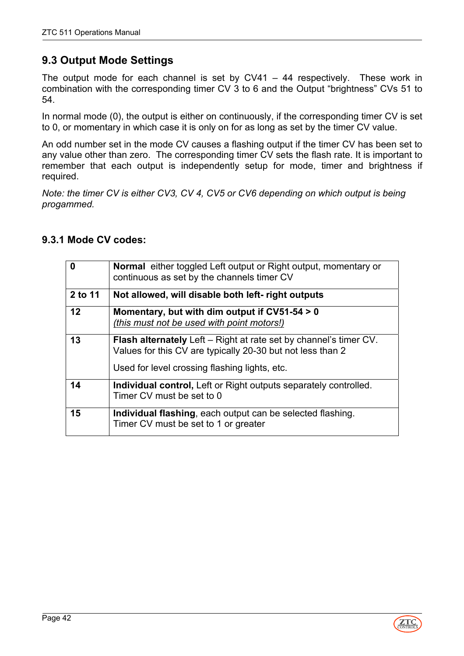# **9.3 Output Mode Settings**

The output mode for each channel is set by  $CV41 - 44$  respectively. These work in combination with the corresponding timer CV 3 to 6 and the Output "brightness" CVs 51 to 54.

In normal mode (0), the output is either on continuously, if the corresponding timer CV is set to 0, or momentary in which case it is only on for as long as set by the timer CV value.

An odd number set in the mode CV causes a flashing output if the timer CV has been set to any value other than zero. The corresponding timer CV sets the flash rate. It is important to remember that each output is independently setup for mode, timer and brightness if required.

*Note: the timer CV is either CV3, CV 4, CV5 or CV6 depending on which output is being progammed.*

| 0       | <b>Normal</b> either toggled Left output or Right output, momentary or<br>continuous as set by the channels timer CV                   |
|---------|----------------------------------------------------------------------------------------------------------------------------------------|
| 2 to 11 | Not allowed, will disable both left- right outputs                                                                                     |
| 12      | Momentary, but with dim output if $CV51-54 > 0$<br>(this must not be used with point motors!)                                          |
| 13      | <b>Flash alternately</b> Left – Right at rate set by channel's timer CV.<br>Values for this CV are typically 20-30 but not less than 2 |
|         | Used for level crossing flashing lights, etc.                                                                                          |
| 14      | <b>Individual control, Left or Right outputs separately controlled.</b><br>Timer CV must be set to 0                                   |
| 15      | Individual flashing, each output can be selected flashing.<br>Timer CV must be set to 1 or greater                                     |

#### <span id="page-41-0"></span>**9.3.1 Mode CV codes:**

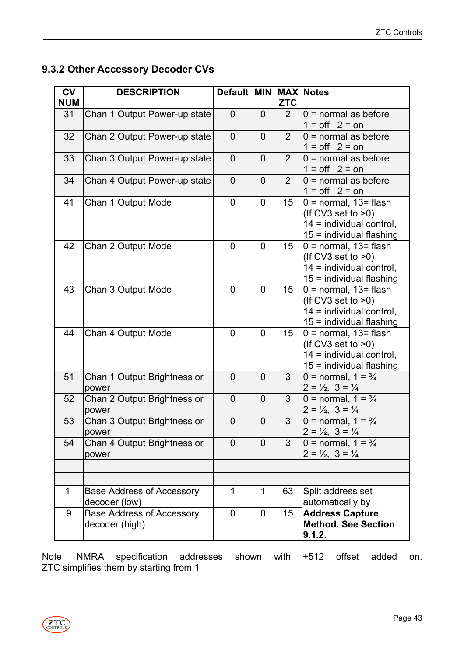# <span id="page-42-0"></span>**9.3.2 Other Accessory Decoder CVs**

| <b>CV</b><br><b>NUM</b> | <b>DESCRIPTION</b>                                 | Default   MIN  |                | <b>ZTC</b>       | <b>MAX Notes</b>                                                                                            |
|-------------------------|----------------------------------------------------|----------------|----------------|------------------|-------------------------------------------------------------------------------------------------------------|
| 31                      | Chan 1 Output Power-up state                       | $\overline{0}$ | $\overline{0}$ | 2 <sup>1</sup>   | $0 =$ normal as before<br>$1 = \text{off}$ 2 = on                                                           |
| 32                      | Chan 2 Output Power-up state                       | $\overline{0}$ | $\overline{0}$ | 2                | $0 =$ normal as before<br>$1 = off \quad 2 = on$                                                            |
| 33                      | Chan 3 Output Power-up state                       | $\overline{0}$ | $\overline{0}$ | 2                | $0 =$ normal as before<br>$1 = off \quad 2 = on$                                                            |
| 34                      | Chan 4 Output Power-up state                       | $\overline{0}$ | $\overline{0}$ | 2                | $0 =$ normal as before<br>$1 = \text{off}$ 2 = on                                                           |
| 41                      | Chan 1 Output Mode                                 | $\overline{0}$ | 0              | 15               | $0 = normal$ , 13= flash<br>(If CV3 set to $>0$ )<br>14 = individual control,<br>$15 =$ individual flashing |
| 42                      | Chan 2 Output Mode                                 | $\overline{0}$ | $\overline{0}$ | 15 <sup>15</sup> | $0 = normal$ , 13= flash<br>(If CV3 set to $>0$ )<br>14 = individual control,<br>15 = individual flashing   |
| 43                      | Chan 3 Output Mode                                 | $\overline{0}$ | $\overline{0}$ | 15               | $0 = normal$ , 13= flash<br>(If CV3 set to $>0$ )<br>14 = individual control,<br>$15 =$ individual flashing |
| 44                      | Chan 4 Output Mode                                 | $\mathbf 0$    | $\overline{0}$ | 15 <sub>1</sub>  | $0 = normal$ , 13= flash<br>(If CV3 set to $>0$ )<br>14 = individual control,<br>$15 =$ individual flashing |
| 51                      | Chan 1 Output Brightness or<br>power               | $\overline{0}$ | $\overline{0}$ | 3                | 0 = normal, $1 = \frac{3}{4}$<br>$2 = \frac{1}{2}$ , $3 = \frac{1}{4}$                                      |
| 52                      | Chan 2 Output Brightness or<br>power               | 0              | $\overline{0}$ | 3                | 0 = normal, $1 = \frac{3}{4}$<br>$2 = \frac{1}{2}$ , $3 = \frac{1}{4}$                                      |
| 53                      | Chan 3 Output Brightness or<br>power               | $\overline{0}$ | $\overline{0}$ | 3                | 0 = normal, $1 = \frac{3}{4}$<br>$2 = \frac{1}{2}$ , $3 = \frac{1}{4}$                                      |
| 54                      | Chan 4 Output Brightness or<br>power               | $\overline{0}$ | $\overline{0}$ | 3                | 0 = normal, $1 = \frac{3}{4}$<br>$2 = \frac{1}{2}$ , $3 = \frac{1}{4}$                                      |
|                         |                                                    |                |                |                  |                                                                                                             |
| 1                       | <b>Base Address of Accessory</b><br>decoder (low)  | $\mathbf 1$    | $\mathbf 1$    | 63               | Split address set<br>automatically by                                                                       |
| 9                       | <b>Base Address of Accessory</b><br>decoder (high) | $\overline{0}$ | $\overline{0}$ | 15               | <b>Address Capture</b><br><b>Method. See Section</b><br>9.1.2.                                              |

Note: NMRA specification addresses shown with +512 offset added on. ZTC simplifies them by starting from 1

ZTC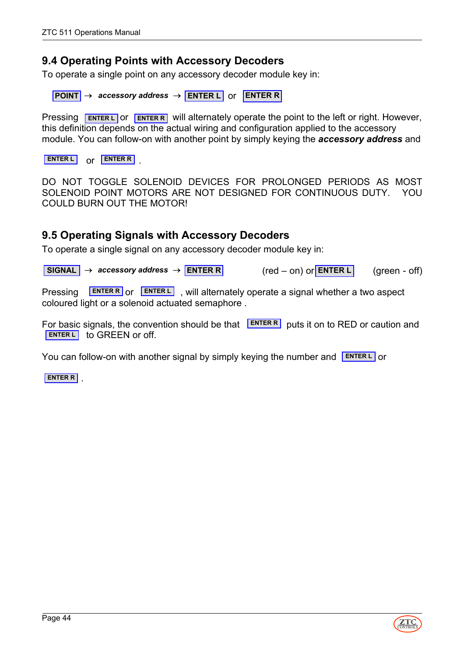### <span id="page-43-0"></span>**9.4 Operating Points with Accessory Decoders**

To operate a single point on any accessory decoder module key in:

**POINT** → *accessory address* → **ENTER L** or **ENTER R** 

Pressing **ENTER L** OF **ENTER R** will alternately operate the point to the left or right. However, this definition depends on the actual wiring and configuration applied to the accessory module. You can follow-on with another point by simply keying the *accessory address* and

or . **ENTER L ENTER R**

DO NOT TOGGLE SOLENOID DEVICES FOR PROLONGED PERIODS AS MOST SOLENOID POINT MOTORS ARE NOT DESIGNED FOR CONTINUOUS DUTY. YOU COULD BURN OUT THE MOTORL

### <span id="page-43-1"></span>**9.5 Operating Signals with Accessory Decoders**

To operate a single signal on any accessory decoder module key in:

 $\vert$  **SIGNAL**  $\vert \rightarrow$  *accessory address*  $\rightarrow$  **ENTER R** (red – on) or **ENTER L** (green - off)  $(\text{red} - \text{on})$  or **ENTER L** 

Pressing **LENTER R** or **ENTER L**, will alternately operate a signal whether a two aspect coloured light or a solenoid actuated semaphore .

For basic signals, the convention should be that **ENTER R** puts it on to RED or caution and **ENTER L** to GREEN or off.

You can follow-on with another signal by simply keying the number and **ENTERL** or

. **ENTER R**

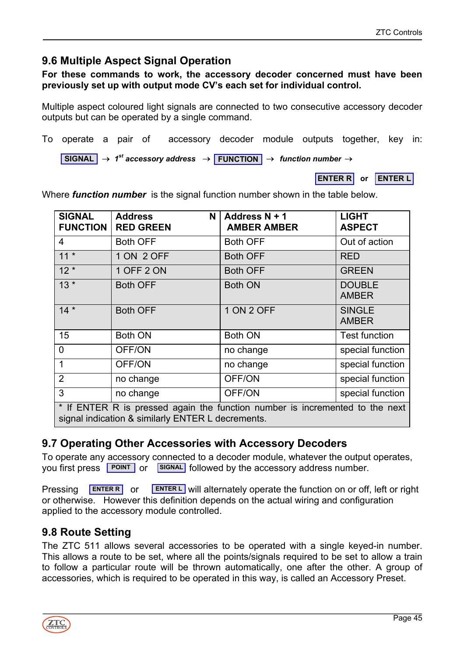# <span id="page-44-0"></span>**9.6 Multiple Aspect Signal Operation**

#### **For these commands to work, the accessory decoder concerned must have been previously set up with output mode CV's each set for individual control.**

Multiple aspect coloured light signals are connected to two consecutive accessory decoder outputs but can be operated by a single command.

To operate a pair of accessory decoder module outputs together, key in:

 $\overline{\left|\right|}$  SIGNAL  $\rightarrow$  1<sup>st</sup> accessory address  $\rightarrow$  **FUNCTION**  $\rightarrow$  *function number*  $\rightarrow$ 

**ENTER R or ENTER L**

| <b>SIGNAL</b><br><b>FUNCTION</b>                                                                                                  | <b>Address</b><br>N<br><b>RED GREEN</b> | Address N + 1<br><b>AMBER AMBER</b> | <b>LIGHT</b><br><b>ASPECT</b> |  |
|-----------------------------------------------------------------------------------------------------------------------------------|-----------------------------------------|-------------------------------------|-------------------------------|--|
| $\overline{4}$                                                                                                                    | <b>Both OFF</b>                         | <b>Both OFF</b>                     | Out of action                 |  |
| $11 *$                                                                                                                            | 1 ON 2 OFF                              | <b>Both OFF</b>                     | <b>RED</b>                    |  |
| $12*$                                                                                                                             | 1 OFF 2 ON                              | <b>Both OFF</b>                     | <b>GREEN</b>                  |  |
| $13 *$                                                                                                                            | <b>Both OFF</b>                         | <b>Both ON</b>                      | <b>DOUBLE</b><br><b>AMBER</b> |  |
| $14*$                                                                                                                             | <b>Both OFF</b>                         | 1 ON 2 OFF                          | <b>SINGLE</b><br><b>AMBER</b> |  |
| 15                                                                                                                                | <b>Both ON</b>                          | <b>Both ON</b>                      | <b>Test function</b>          |  |
| $\overline{0}$                                                                                                                    | OFF/ON                                  | no change                           | special function              |  |
| 1                                                                                                                                 | OFF/ON                                  | no change                           | special function              |  |
| $\overline{2}$                                                                                                                    | no change                               | OFF/ON                              | special function              |  |
| 3                                                                                                                                 | no change                               | OFF/ON                              | special function              |  |
| * If ENTER R is pressed again the function number is incremented to the next<br>signal indication & similarly ENTER L decrements. |                                         |                                     |                               |  |

Where *function number* is the signal function number shown in the table below.

# <span id="page-44-1"></span>**9.7 Operating Other Accessories with Accessory Decoders**

To operate any accessory connected to a decoder module, whatever the output operates, you first press **POINT** or **SIGNAL** followed by the accessory address number.

Pressing **ENTER R** or **ENTER L** will alternately operate the function on or off, left or right or otherwise. However this definition depends on the actual wiring and configuration applied to the accessory module controlled. **ENTER R**

# <span id="page-44-2"></span>**9.8 Route Setting**

The ZTC 511 allows several accessories to be operated with a single keyed-in number. This allows a route to be set, where all the points/signals required to be set to allow a train to follow a particular route will be thrown automatically, one after the other. A group of accessories, which is required to be operated in this way, is called an Accessory Preset.

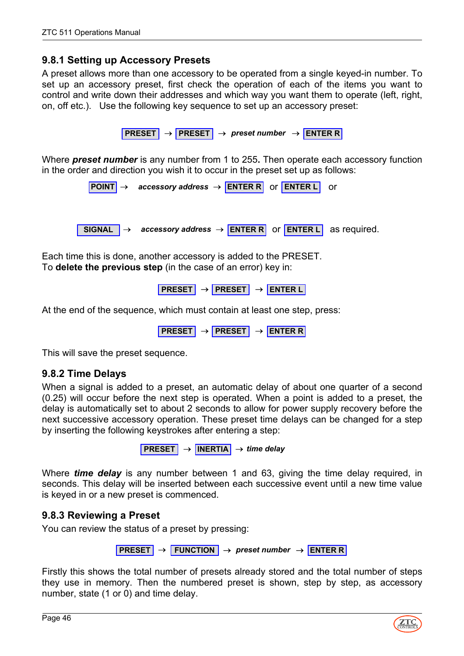#### <span id="page-45-0"></span>**9.8.1 Setting up Accessory Presets**

A preset allows more than one accessory to be operated from a single keyed-in number. To set up an accessory preset, first check the operation of each of the items you want to control and write down their addresses and which way you want them to operate (left, right, on, off etc.). Use the following key sequence to set up an accessory preset:

**PRESET** → **PRESET** → *preset number* → **ENTER R**

Where *preset number* is any number from 1 to 255**.** Then operate each accessory function in the order and direction you wish it to occur in the preset set up as follows:

**POINT** → *accessory address* → **ENTER R** or **ENTER L** or

**SIGNAL** → *accessory address* → **ENTER R** or **ENTER L** as required.

Each time this is done, another accessory is added to the PRESET. To **delete the previous step** (in the case of an error) key in:

**PRESET** → **PRESET** → **ENTER L**

At the end of the sequence, which must contain at least one step, press:

**PRESET** → **PRESET** → **ENTER R**

This will save the preset sequence.

#### <span id="page-45-1"></span>**9.8.2 Time Delays**

When a signal is added to a preset, an automatic delay of about one quarter of a second (0.25) will occur before the next step is operated. When a point is added to a preset, the delay is automatically set to about 2 seconds to allow for power supply recovery before the next successive accessory operation. These preset time delays can be changed for a step by inserting the following keystrokes after entering a step:

**PRESET** → **INERTIA** → *time delay*

Where *time delay* is any number between 1 and 63, giving the time delay required, in seconds. This delay will be inserted between each successive event until a new time value is keyed in or a new preset is commenced.

#### <span id="page-45-2"></span>**9.8.3 Reviewing a Preset**

You can review the status of a preset by pressing:

**PRESET** → **FUNCTION** → *preset number* → **ENTER R**

Firstly this shows the total number of presets already stored and the total number of steps they use in memory. Then the numbered preset is shown, step by step, as accessory number, state (1 or 0) and time delay.

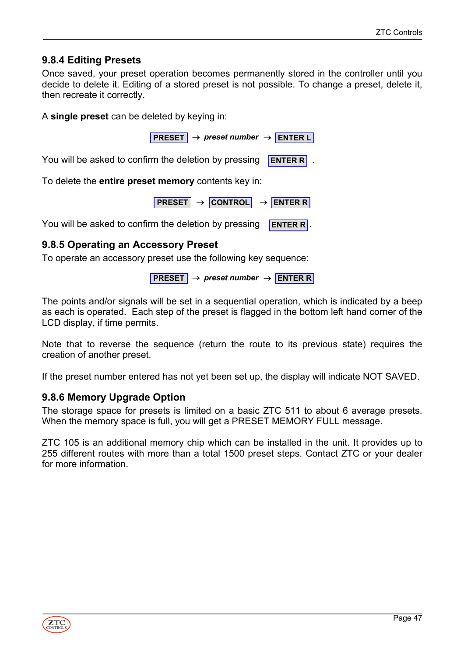### <span id="page-46-0"></span>**9.8.4 Editing Presets**

Once saved, your preset operation becomes permanently stored in the controller until you decide to delete it. Editing of a stored preset is not possible. To change a preset, delete it, then recreate it correctly.

A **single preset** can be deleted by keying in:

**PRESET** → *preset number* → **ENTER L**

You will be asked to confirm the deletion by pressing . **ENTER R**

To delete the **entire preset memory** contents key in:

**PRESET** → **CONTROL** → **ENTER R**

You will be asked to confirm the deletion by pressing . **ENTER R**

#### <span id="page-46-1"></span>**9.8.5 Operating an Accessory Preset**

To operate an accessory preset use the following key sequence:

```
PRESET → preset number → ENTER R
```
The points and/or signals will be set in a sequential operation, which is indicated by a beep as each is operated. Each step of the preset is flagged in the bottom left hand corner of the LCD display, if time permits.

Note that to reverse the sequence (return the route to its previous state) requires the creation of another preset.

If the preset number entered has not yet been set up, the display will indicate NOT SAVED.

#### <span id="page-46-2"></span>**9.8.6 Memory Upgrade Option**

The storage space for presets is limited on a basic ZTC 511 to about 6 average presets. When the memory space is full, you will get a PRESET MEMORY FULL message.

ZTC 105 is an additional memory chip which can be installed in the unit. It provides up to 255 different routes with more than a total 1500 preset steps. Contact ZTC or your dealer for more information.

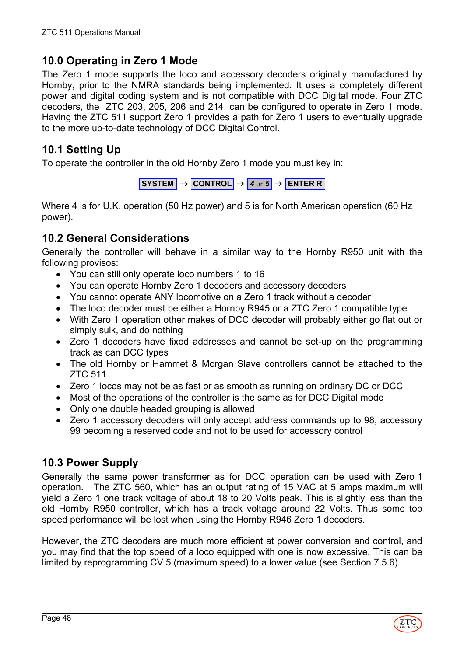# <span id="page-47-0"></span>**10.0 Operating in Zero 1 Mode**

The Zero 1 mode supports the loco and accessory decoders originally manufactured by Hornby, prior to the NMRA standards being implemented. It uses a completely different power and digital coding system and is not compatible with DCC Digital mode. Four ZTC decoders, the ZTC 203, 205, 206 and 214, can be configured to operate in Zero 1 mode. Having the ZTC 511 support Zero 1 provides a path for Zero 1 users to eventually upgrade to the more up-to-date technology of DCC Digital Control.

# <span id="page-47-1"></span>**10.1 Setting Up**

To operate the controller in the old Hornby Zero 1 mode you must key in:

 $\overline{\text{S} \text{Y} \text{S} \text{T} \text{E} \text{M}}$   $\rightarrow$  **CONTROL**  $\rightarrow$  **4** or **5**  $\rightarrow$  **ENTER R** 

Where 4 is for U.K. operation (50 Hz power) and 5 is for North American operation (60 Hz power).

# <span id="page-47-2"></span>**10.2 General Considerations**

Generally the controller will behave in a similar way to the Hornby R950 unit with the following provisos:

- You can still only operate loco numbers 1 to 16
- You can operate Hornby Zero 1 decoders and accessory decoders
- You cannot operate ANY locomotive on a Zero 1 track without a decoder
- The loco decoder must be either a Hornby R945 or a ZTC Zero 1 compatible type
- With Zero 1 operation other makes of DCC decoder will probably either go flat out or simply sulk, and do nothing
- Zero 1 decoders have fixed addresses and cannot be set-up on the programming track as can DCC types
- The old Hornby or Hammet & Morgan Slave controllers cannot be attached to the ZTC 511
- Zero 1 locos may not be as fast or as smooth as running on ordinary DC or DCC
- Most of the operations of the controller is the same as for DCC Digital mode
- Only one double headed grouping is allowed
- Zero 1 accessory decoders will only accept address commands up to 98, accessory 99 becoming a reserved code and not to be used for accessory control

# <span id="page-47-3"></span>**10.3 Power Supply**

Generally the same power transformer as for DCC operation can be used with Zero 1 operation. The ZTC 560, which has an output rating of 15 VAC at 5 amps maximum will yield a Zero 1 one track voltage of about 18 to 20 Volts peak. This is slightly less than the old Hornby R950 controller, which has a track voltage around 22 Volts. Thus some top speed performance will be lost when using the Hornby R946 Zero 1 decoders.

However, the ZTC decoders are much more efficient at power conversion and control, and you may find that the top speed of a loco equipped with one is now excessive. This can be limited by reprogramming CV 5 (maximum speed) to a lower value (see Section 7.5.6).

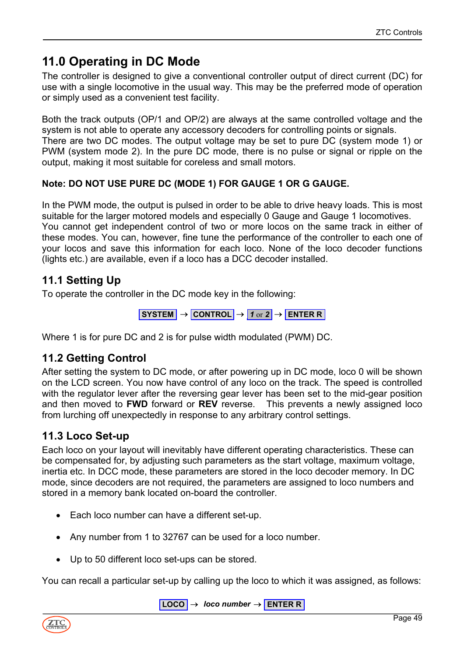# <span id="page-48-0"></span>**11.0 Operating in DC Mode**

The controller is designed to give a conventional controller output of direct current (DC) for use with a single locomotive in the usual way. This may be the preferred mode of operation or simply used as a convenient test facility.

Both the track outputs (OP/1 and OP/2) are always at the same controlled voltage and the system is not able to operate any accessory decoders for controlling points or signals. There are two DC modes. The output voltage may be set to pure DC (system mode 1) or PWM (system mode 2). In the pure DC mode, there is no pulse or signal or ripple on the output, making it most suitable for coreless and small motors.

### **Note: DO NOT USE PURE DC (MODE 1) FOR GAUGE 1 OR G GAUGE.**

In the PWM mode, the output is pulsed in order to be able to drive heavy loads. This is most suitable for the larger motored models and especially 0 Gauge and Gauge 1 locomotives. You cannot get independent control of two or more locos on the same track in either of these modes. You can, however, fine tune the performance of the controller to each one of your locos and save this information for each loco. None of the loco decoder functions (lights etc.) are available, even if a loco has a DCC decoder installed.

# <span id="page-48-1"></span>**11.1 Setting Up**

To operate the controller in the DC mode key in the following:

$$
S YSTEM \rightarrow \boxed{\text{CONTROL}} \rightarrow 1 \text{ or } 2 \rightarrow \boxed{\text{ENTER R}}
$$

Where 1 is for pure DC and 2 is for pulse width modulated (PWM) DC.

# <span id="page-48-2"></span>**11.2 Getting Control**

After setting the system to DC mode, or after powering up in DC mode, loco 0 will be shown on the LCD screen. You now have control of any loco on the track. The speed is controlled with the regulator lever after the reversing gear lever has been set to the mid-gear position and then moved to **FWD** forward or **REV** reverse. This prevents a newly assigned loco from lurching off unexpectedly in response to any arbitrary control settings.

# <span id="page-48-3"></span>**11.3 Loco Set-up**

Each loco on your layout will inevitably have different operating characteristics. These can be compensated for, by adjusting such parameters as the start voltage, maximum voltage, inertia etc. In DCC mode, these parameters are stored in the loco decoder memory. In DC mode, since decoders are not required, the parameters are assigned to loco numbers and stored in a memory bank located on-board the controller.

- Each loco number can have a different set-up.
- Any number from 1 to 32767 can be used for a loco number.
- Up to 50 different loco set-ups can be stored.

You can recall a particular set-up by calling up the loco to which it was assigned, as follows:

 $\vert$  **LOCO**  $\vert \rightarrow$  *loco number*  $\rightarrow$  **ENTER R** 

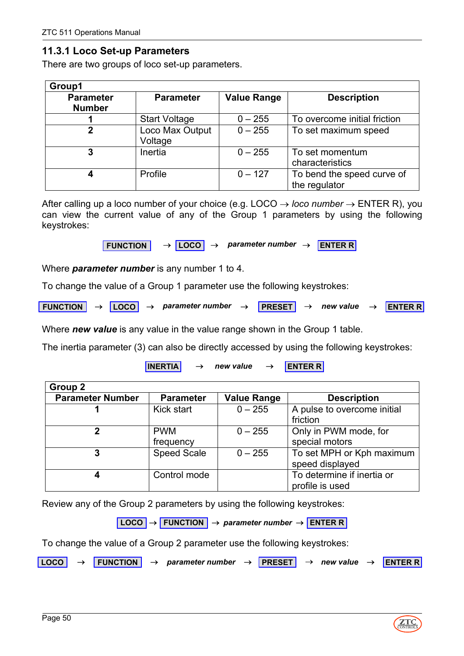### <span id="page-49-0"></span>**11.3.1 Loco Set-up Parameters**

There are two groups of loco set-up parameters.

| Group1                            |                            |                    |                                             |
|-----------------------------------|----------------------------|--------------------|---------------------------------------------|
| <b>Parameter</b><br><b>Number</b> | <b>Parameter</b>           | <b>Value Range</b> | <b>Description</b>                          |
|                                   | <b>Start Voltage</b>       | $0 - 255$          | To overcome initial friction                |
|                                   | Loco Max Output<br>Voltage | $0 - 255$          | To set maximum speed                        |
| 3                                 | Inertia                    | $0 - 255$          | To set momentum<br>characteristics          |
|                                   | Profile                    | $0 - 127$          | To bend the speed curve of<br>the regulator |

After calling up a loco number of your choice (e.g. LOCO  $\rightarrow$  *loco number*  $\rightarrow$  ENTER R), you can view the current value of any of the Group 1 parameters by using the following keystrokes:

**FUNCTION** → **LOCO** → *parameter number* → **ENTER R**

Where *parameter number* is any number 1 to 4.

To change the value of a Group 1 parameter use the following keystrokes:

**FUNCTION** → **LOCO** → *parameter number* → **PRESET** → *new value* → **ENTER R**

Where *new value* is any value in the value range shown in the Group 1 table.

The inertia parameter (3) can also be directly accessed by using the following keystrokes:

**INERTIA** → *new value* → **ENTER R**

| Group 2                 |                         |                    |                                               |
|-------------------------|-------------------------|--------------------|-----------------------------------------------|
| <b>Parameter Number</b> | <b>Parameter</b>        | <b>Value Range</b> | <b>Description</b>                            |
|                         | Kick start              | $0 - 255$          | A pulse to overcome initial<br>friction       |
| 2                       | <b>PWM</b><br>frequency | $0 - 255$          | Only in PWM mode, for<br>special motors       |
| 3                       | <b>Speed Scale</b>      | $0 - 255$          | To set MPH or Kph maximum<br>speed displayed  |
| 4                       | Control mode            |                    | To determine if inertia or<br>profile is used |

Review any of the Group 2 parameters by using the following keystrokes:

**LOCO** → **FUNCTION** → *parameter number* → **ENTER R**

To change the value of a Group 2 parameter use the following keystrokes:

**LOCO** → **FUNCTION** → *parameter number* → **PRESET** → *new value* → **ENTER R**

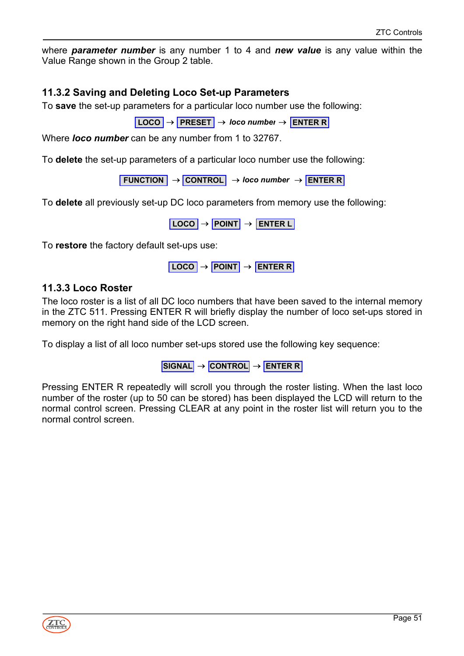<span id="page-50-0"></span>where *parameter number* is any number 1 to 4 and *new value* is any value within the Value Range shown in the Group 2 table.

### **11.3.2 Saving and Deleting Loco Set-up Parameters**

To **save** the set-up parameters for a particular loco number use the following:

**LOCO** → **PRESET** → *loco number* → **ENTER R**

Where *loco number* can be any number from 1 to 32767.

To **delete** the set-up parameters of a particular loco number use the following:

**FUNCTION** → **CONTROL** → *loco number* → **ENTER R**

To **delete** all previously set-up DC loco parameters from memory use the following:

**LOCO** → **POINT** → **ENTER L**

<span id="page-50-1"></span>To **restore** the factory default set-ups use:

**LOCO** → **POINT** → **ENTER R**

#### **11.3.3 Loco Roster**

The loco roster is a list of all DC loco numbers that have been saved to the internal memory in the ZTC 511. Pressing ENTER R will briefly display the number of loco set-ups stored in memory on the right hand side of the LCD screen.

To display a list of all loco number set-ups stored use the following key sequence:

**SIGNAL** → **CONTROL** → **ENTER R**

Pressing ENTER R repeatedly will scroll you through the roster listing. When the last loco number of the roster (up to 50 can be stored) has been displayed the LCD will return to the normal control screen. Pressing CLEAR at any point in the roster list will return you to the normal control screen.

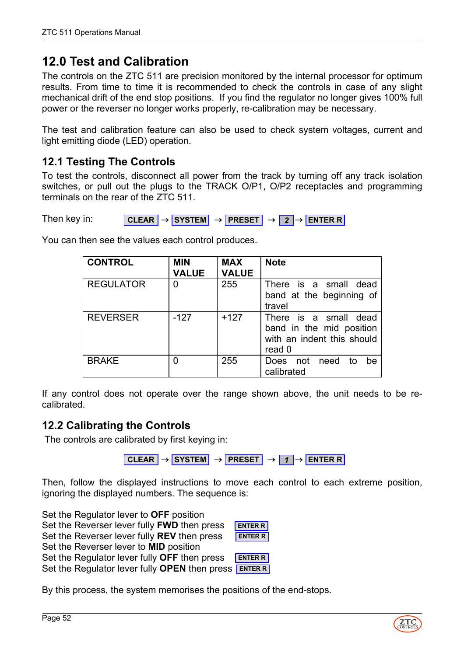# <span id="page-51-0"></span>**12.0 Test and Calibration**

The controls on the ZTC 511 are precision monitored by the internal processor for optimum results. From time to time it is recommended to check the controls in case of any slight mechanical drift of the end stop positions. If you find the regulator no longer gives 100% full power or the reverser no longer works properly, re-calibration may be necessary.

The test and calibration feature can also be used to check system voltages, current and light emitting diode (LED) operation.

# <span id="page-51-1"></span>**12.1 Testing The Controls**

To test the controls, disconnect all power from the track by turning off any track isolation switches, or pull out the plugs to the TRACK O/P1, O/P2 receptacles and programming terminals on the rear of the ZTC 511.

Then key in: **CLEAR** → **SYSTEM** → **PRESET** → *2* → **ENTER R**

| <b>CONTROL</b>   | <b>MIN</b><br><b>VALUE</b> | <b>MAX</b><br><b>VALUE</b> | <b>Note</b>                                                                               |
|------------------|----------------------------|----------------------------|-------------------------------------------------------------------------------------------|
| <b>REGULATOR</b> | 0                          | 255                        | There is a small dead<br>band at the beginning of<br>travel                               |
| <b>REVERSER</b>  | $-127$                     | $+127$                     | There is a small dead<br>band in the mid position<br>with an indent this should<br>read 0 |
| <b>BRAKE</b>     |                            | 255                        | not need<br><b>Does</b><br>he<br>to<br>calibrated                                         |

You can then see the values each control produces.

If any control does not operate over the range shown above, the unit needs to be recalibrated.

# <span id="page-51-2"></span>**12.2 Calibrating the Controls**

The controls are calibrated by first keying in:

**CLEAR** → **SYSTEM** → **PRESET** → *1* → **ENTER R**

Then, follow the displayed instructions to move each control to each extreme position, ignoring the displayed numbers. The sequence is:

Set the Regulator lever to **OFF** position Set the Reverser lever fully **FWD** then press Set the Reverser lever fully **REV** then press Set the Reverser lever to **MID** position Set the Regulator lever fully **OFF** then press Set the Regulator lever fully **OPEN** then press **ENTER R ENTER R ENTER R ENTER R**

By this process, the system memorises the positions of the end-stops.

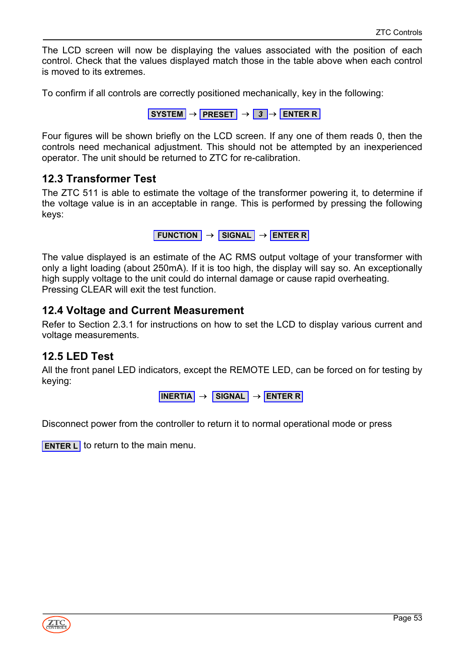The LCD screen will now be displaying the values associated with the position of each control. Check that the values displayed match those in the table above when each control is moved to its extremes.

To confirm if all controls are correctly positioned mechanically, key in the following:

**SYSTEM** → **PRESET** → *3* → **ENTER R**

Four figures will be shown briefly on the LCD screen. If any one of them reads 0, then the controls need mechanical adjustment. This should not be attempted by an inexperienced operator. The unit should be returned to ZTC for re-calibration.

### <span id="page-52-0"></span>**12.3 Transformer Test**

The ZTC 511 is able to estimate the voltage of the transformer powering it, to determine if the voltage value is in an acceptable in range. This is performed by pressing the following keys:

```
FUNCTION → SIGNAL → ENTER R
```
The value displayed is an estimate of the AC RMS output voltage of your transformer with only a light loading (about 250mA). If it is too high, the display will say so. An exceptionally high supply voltage to the unit could do internal damage or cause rapid overheating. Pressing CLEAR will exit the test function.

### <span id="page-52-1"></span>**12.4 Voltage and Current Measurement**

Refer to Section 2.3.1 for instructions on how to set the LCD to display various current and voltage measurements.

### <span id="page-52-2"></span>**12.5 LED Test**

All the front panel LED indicators, except the REMOTE LED, can be forced on for testing by keying:

**INERTIA** → **SIGNAL** → **ENTER R**

Disconnect power from the controller to return it to normal operational mode or press

**ENTER L** to return to the main menu.

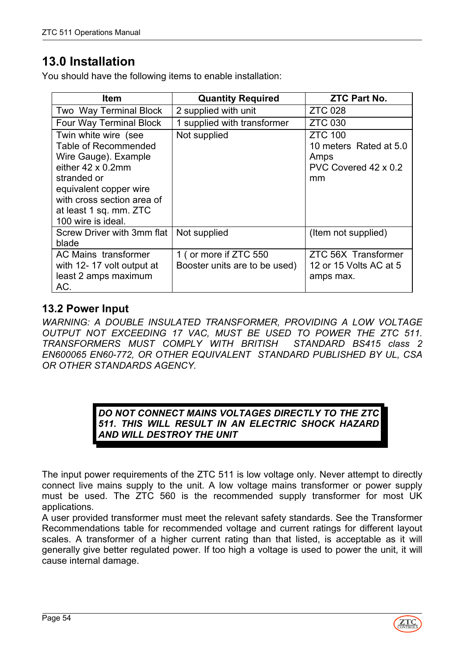# <span id="page-53-0"></span>**13.0 Installation**

You should have the following items to enable installation:

| ltem                                                                                                                                                                                                                     | <b>Quantity Required</b>                               | <b>ZTC Part No.</b>                                                            |
|--------------------------------------------------------------------------------------------------------------------------------------------------------------------------------------------------------------------------|--------------------------------------------------------|--------------------------------------------------------------------------------|
| Two Way Terminal Block                                                                                                                                                                                                   | 2 supplied with unit                                   | <b>ZTC 028</b>                                                                 |
| <b>Four Way Terminal Block</b>                                                                                                                                                                                           | 1 supplied with transformer                            | <b>ZTC 030</b>                                                                 |
| Twin white wire (see<br>Table of Recommended<br>Wire Gauge). Example<br>either $42 \times 0.2$ mm<br>stranded or<br>equivalent copper wire<br>with cross section area of<br>at least 1 sq. mm. ZTC<br>100 wire is ideal. | Not supplied                                           | <b>ZTC 100</b><br>10 meters Rated at 5.0<br>Amps<br>PVC Covered 42 x 0.2<br>mm |
| Screw Driver with 3mm flat<br>blade                                                                                                                                                                                      | Not supplied                                           | (Item not supplied)                                                            |
| AC Mains transformer<br>with 12-17 volt output at<br>least 2 amps maximum<br>AC.                                                                                                                                         | 1 (or more if ZTC 550<br>Booster units are to be used) | ZTC 56X Transformer<br>12 or 15 Volts AC at 5<br>amps max.                     |

# <span id="page-53-1"></span>**13.2 Power Input**

*WARNING: A DOUBLE INSULATED TRANSFORMER, PROVIDING A LOW VOLTAGE OUTPUT NOT EXCEEDING 17 VAC, MUST BE USED TO POWER THE ZTC 511. TRANSFORMERS MUST COMPLY WITH BRITISH STANDARD BS415 class 2 EN600065 EN60-772, OR OTHER EQUIVALENT STANDARD PUBLISHED BY UL, CSA OR OTHER STANDARDS AGENCY.*

> *DO NOT CONNECT MAINS VOLTAGES DIRECTLY TO THE ZTC 511. THIS WILL RESULT IN AN ELECTRIC SHOCK HAZARD AND WILL DESTROY THE UNIT*

The input power requirements of the ZTC 511 is low voltage only. Never attempt to directly connect live mains supply to the unit. A low voltage mains transformer or power supply must be used. The ZTC 560 is the recommended supply transformer for most UK applications.

A user provided transformer must meet the relevant safety standards. See the Transformer Recommendations table for recommended voltage and current ratings for different layout scales. A transformer of a higher current rating than that listed, is acceptable as it will generally give better regulated power. If too high a voltage is used to power the unit, it will cause internal damage.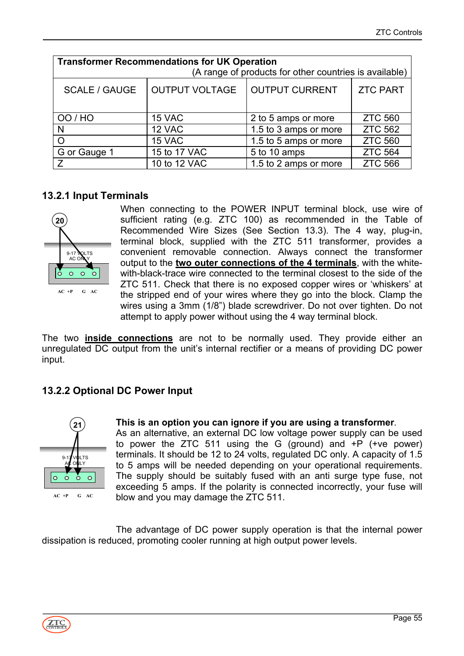| <b>Transformer Recommendations for UK Operation</b><br>(A range of products for other countries is available) |              |                       |                |  |  |  |
|---------------------------------------------------------------------------------------------------------------|--------------|-----------------------|----------------|--|--|--|
| <b>OUTPUT VOLTAGE</b><br><b>OUTPUT CURRENT</b><br><b>ZTC PART</b><br><b>SCALE / GAUGE</b>                     |              |                       |                |  |  |  |
| OO / HO                                                                                                       | 15 VAC       | 2 to 5 amps or more   | <b>ZTC 560</b> |  |  |  |
| N                                                                                                             | 12 VAC       | 1.5 to 3 amps or more | <b>ZTC 562</b> |  |  |  |
| $\circ$                                                                                                       | 15 VAC       | 1.5 to 5 amps or more | <b>ZTC 560</b> |  |  |  |
| G or Gauge 1                                                                                                  | 15 to 17 VAC | 5 to 10 amps          | <b>ZTC 564</b> |  |  |  |
| Z                                                                                                             | 10 to 12 VAC | 1.5 to 2 amps or more | <b>ZTC 566</b> |  |  |  |

#### <span id="page-54-0"></span>**13.2.1 Input Terminals**



When connecting to the POWER INPUT terminal block, use wire of sufficient rating (e.g. ZTC 100) as recommended in the Table of Recommended Wire Sizes (See Section 13.3). The 4 way, plug-in, terminal block, supplied with the ZTC 511 transformer, provides a convenient removable connection. Always connect the transformer output to the **two outer connections of the 4 terminals**, with the whitewith-black-trace wire connected to the terminal closest to the side of the ZTC 511. Check that there is no exposed copper wires or 'whiskers' at the stripped end of your wires where they go into the block. Clamp the wires using a 3mm (1/8") blade screwdriver. Do not over tighten. Do not attempt to apply power without using the 4 way terminal block.

The two **inside connections** are not to be normally used. They provide either an unregulated DC output from the unit's internal rectifier or a means of providing DC power input.

### <span id="page-54-1"></span>**13.2.2 Optional DC Power Input**



#### **This is an option you can ignore if you are using a transformer***.*

As an alternative, an external DC low voltage power supply can be used to power the ZTC 511 using the G (ground) and +P (+ve power) terminals. It should be 12 to 24 volts, regulated DC only. A capacity of 1.5 to 5 amps will be needed depending on your operational requirements. The supply should be suitably fused with an anti surge type fuse, not exceeding 5 amps. If the polarity is connected incorrectly, your fuse will blow and you may damage the ZTC 511.

The advantage of DC power supply operation is that the internal power dissipation is reduced, promoting cooler running at high output power levels.

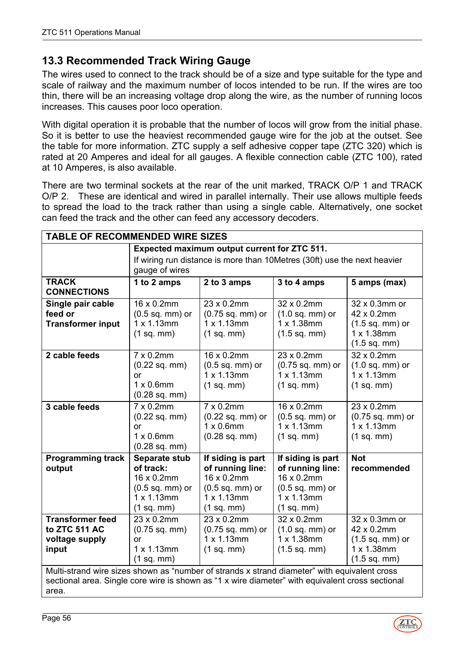# <span id="page-55-0"></span>**13.3 Recommended Track Wiring Gauge**

The wires used to connect to the track should be of a size and type suitable for the type and scale of railway and the maximum number of locos intended to be run. If the wires are too thin, there will be an increasing voltage drop along the wire, as the number of running locos increases. This causes poor loco operation.

With digital operation it is probable that the number of locos will grow from the initial phase. So it is better to use the heaviest recommended gauge wire for the job at the outset. See the table for more information. ZTC supply a self adhesive copper tape (ZTC 320) which is rated at 20 Amperes and ideal for all gauges. A flexible connection cable (ZTC 100), rated at 10 Amperes, is also available.

There are two terminal sockets at the rear of the unit marked, TRACK O/P 1 and TRACK O/P 2. These are identical and wired in parallel internally. Their use allows multiple feeds to spread the load to the track rather than using a single cable. Alternatively, one socket can feed the track and the other can feed any accessory decoders.

| <b>TABLE OF RECOMMENDED WIRE SIZES</b>                                                                                                                                                           |                                                                           |                                |                                |                        |
|--------------------------------------------------------------------------------------------------------------------------------------------------------------------------------------------------|---------------------------------------------------------------------------|--------------------------------|--------------------------------|------------------------|
|                                                                                                                                                                                                  | Expected maximum output current for ZTC 511.                              |                                |                                |                        |
|                                                                                                                                                                                                  | If wiring run distance is more than 10 Metres (30ft) use the next heavier |                                |                                |                        |
|                                                                                                                                                                                                  | gauge of wires                                                            |                                |                                |                        |
| <b>TRACK</b>                                                                                                                                                                                     | 1 to 2 amps                                                               | 2 to 3 amps                    | 3 to 4 amps                    | 5 amps (max)           |
| <b>CONNECTIONS</b>                                                                                                                                                                               |                                                                           |                                |                                |                        |
| Single pair cable                                                                                                                                                                                | 16 x 0.2mm                                                                | 23 x 0.2mm                     | 32 x 0.2mm                     | 32 x 0.3mm or          |
| feed or                                                                                                                                                                                          | $(0.5$ sq. mm) or                                                         | (0.75 sq. mm) or               | $(1.0$ sq. mm $)$ or           | 42 x 0.2mm             |
| <b>Transformer input</b>                                                                                                                                                                         | $1 \times 1.13$ mm                                                        | $1 \times 1.13$ mm             | 1 x 1.38mm                     | $(1.5$ sq. mm) or      |
|                                                                                                                                                                                                  | (1 sq. mm)                                                                | (1 sq. mm)                     | $(1.5$ sq. mm $)$              | 1 x 1.38mm             |
|                                                                                                                                                                                                  |                                                                           |                                |                                | $(1.5 \text{ sq. mm})$ |
| 2 cable feeds                                                                                                                                                                                    | 7 x 0.2mm                                                                 | 16 x 0.2mm                     | 23 x 0.2mm                     | 32 x 0.2mm             |
|                                                                                                                                                                                                  | $(0.22$ sq. mm $)$                                                        | $(0.5$ sq. mm) or              | $(0.75$ sq. mm) or             | $(1.0$ sq. mm) or      |
|                                                                                                                                                                                                  | or                                                                        | $1 \times 1.13$ mm             | $1 \times 1.13$ mm             | 1 x 1.13mm             |
|                                                                                                                                                                                                  | $1 \times 0.6$ mm                                                         | (1 sq. mm)                     | (1 sq. mm)                     | (1 sq. mm)             |
|                                                                                                                                                                                                  | $(0.28$ sq. mm $)$                                                        |                                |                                |                        |
| 3 cable feeds                                                                                                                                                                                    | $7 \times 0.2$ mm                                                         | $7 \times 0.2$ mm              | 16 x 0.2mm                     | 23 x 0.2mm             |
|                                                                                                                                                                                                  | $(0.22$ sq. mm $)$                                                        | $(0.22$ sq. mm) or             | (0.5 sq. mm) or                | (0.75 sq. mm) or       |
|                                                                                                                                                                                                  | or                                                                        | $1 \times 0.6$ mm              | $1 \times 1.13$ mm             | $1 \times 1.13$ mm     |
|                                                                                                                                                                                                  | $1 \times 0.6$ mm                                                         | $(0.28$ sq. mm $)$             | (1 sq. mm)                     | (1 sq. mm)             |
|                                                                                                                                                                                                  | $(0.28$ sq. mm $)$                                                        |                                |                                |                        |
| <b>Programming track</b>                                                                                                                                                                         | Separate stub                                                             | If siding is part              | If siding is part              | <b>Not</b>             |
| output                                                                                                                                                                                           | of track:<br>16 x 0.2mm                                                   | of running line:<br>16 x 0.2mm | of running line:<br>16 x 0.2mm | recommended            |
|                                                                                                                                                                                                  | $(0.5$ sq. mm $)$ or                                                      | $(0.5$ sq. mm) or              | $(0.5$ sq. mm) or              |                        |
|                                                                                                                                                                                                  | $1 \times 1.13$ mm                                                        | $1 \times 1.13$ mm             | $1 \times 1.13$ mm             |                        |
|                                                                                                                                                                                                  | (1 sq. mm)                                                                | (1 sq. mm)                     | (1 sq. mm)                     |                        |
| <b>Transformer feed</b>                                                                                                                                                                          | 23 x 0.2mm                                                                | 23 x 0.2mm                     | 32 x 0.2mm                     | 32 x 0.3mm or          |
| to ZTC 511 AC                                                                                                                                                                                    | $(0.75$ sq. mm $)$                                                        | (0.75 sq. mm) or               | $(1.0$ sq. mm) or              | 42 x 0.2mm             |
| voltage supply                                                                                                                                                                                   | or                                                                        | $1 \times 1.13$ mm             | $1 \times 1.38$ mm             | $(1.5$ sq. mm) or      |
| input                                                                                                                                                                                            | 1 x 1.13mm                                                                | (1 sq. mm)                     | $(1.5 \text{ sq. mm})$         | $1 \times 1.38$ mm     |
|                                                                                                                                                                                                  | (1 sq. mm)                                                                |                                |                                | $(1.5 \text{ sq. mm})$ |
|                                                                                                                                                                                                  |                                                                           |                                |                                |                        |
| Multi-strand wire sizes shown as "number of strands x strand diameter" with equivalent cross<br>sectional area. Single core wire is shown as "1 x wire diameter" with equivalent cross sectional |                                                                           |                                |                                |                        |

area.

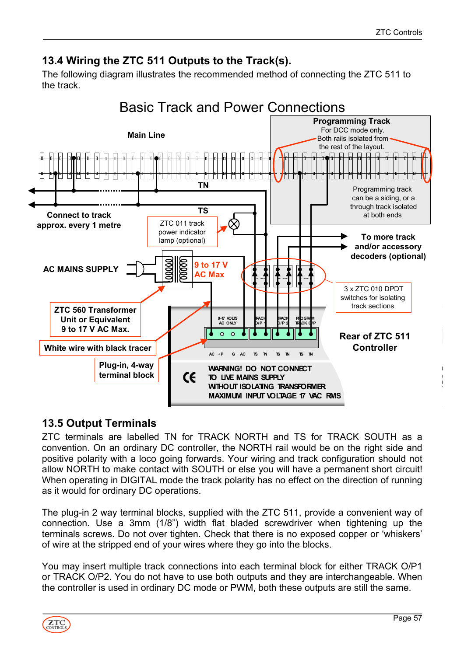# <span id="page-56-0"></span>**13.4 Wiring the ZTC 511 Outputs to the Track(s).**

The following diagram illustrates the recommended method of connecting the ZTC 511 to the track.



# <span id="page-56-1"></span>**13.5 Output Terminals**

ZTC terminals are labelled TN for TRACK NORTH and TS for TRACK SOUTH as a convention. On an ordinary DC controller, the NORTH rail would be on the right side and positive polarity with a loco going forwards. Your wiring and track configuration should not allow NORTH to make contact with SOUTH or else you will have a permanent short circuit! When operating in DIGITAL mode the track polarity has no effect on the direction of running as it would for ordinary DC operations.

The plug-in 2 way terminal blocks, supplied with the ZTC 511, provide a convenient way of connection. Use a 3mm (1/8") width flat bladed screwdriver when tightening up the terminals screws. Do not over tighten. Check that there is no exposed copper or 'whiskers' of wire at the stripped end of your wires where they go into the blocks.

You may insert multiple track connections into each terminal block for either TRACK O/P1 or TRACK O/P2. You do not have to use both outputs and they are interchangeable. When the controller is used in ordinary DC mode or PWM, both these outputs are still the same.

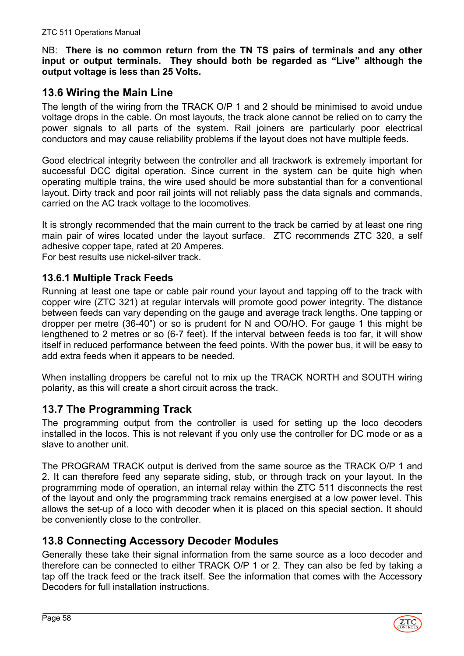#### NB: **There is no common return from the TN TS pairs of terminals and any other input or output terminals. They should both be regarded as "Live" although the output voltage is less than 25 Volts.**

# <span id="page-57-0"></span>**13.6 Wiring the Main Line**

The length of the wiring from the TRACK O/P 1 and 2 should be minimised to avoid undue voltage drops in the cable. On most layouts, the track alone cannot be relied on to carry the power signals to all parts of the system. Rail joiners are particularly poor electrical conductors and may cause reliability problems if the layout does not have multiple feeds.

Good electrical integrity between the controller and all trackwork is extremely important for successful DCC digital operation. Since current in the system can be quite high when operating multiple trains, the wire used should be more substantial than for a conventional layout. Dirty track and poor rail joints will not reliably pass the data signals and commands, carried on the AC track voltage to the locomotives.

It is strongly recommended that the main current to the track be carried by at least one ring main pair of wires located under the layout surface. ZTC recommends ZTC 320, a self adhesive copper tape, rated at 20 Amperes.

For best results use nickel-silver track.

### <span id="page-57-1"></span>**13.6.1 Multiple Track Feeds**

Running at least one tape or cable pair round your layout and tapping off to the track with copper wire (ZTC 321) at regular intervals will promote good power integrity. The distance between feeds can vary depending on the gauge and average track lengths. One tapping or dropper per metre (36-40") or so is prudent for N and OO/HO. For gauge 1 this might be lengthened to 2 metres or so (6-7 feet). If the interval between feeds is too far, it will show itself in reduced performance between the feed points. With the power bus, it will be easy to add extra feeds when it appears to be needed.

When installing droppers be careful not to mix up the TRACK NORTH and SOUTH wiring polarity, as this will create a short circuit across the track.

# <span id="page-57-2"></span>**13.7 The Programming Track**

The programming output from the controller is used for setting up the loco decoders installed in the locos. This is not relevant if you only use the controller for DC mode or as a slave to another unit.

The PROGRAM TRACK output is derived from the same source as the TRACK O/P 1 and 2. It can therefore feed any separate siding, stub, or through track on your layout. In the programming mode of operation, an internal relay within the ZTC 511 disconnects the rest of the layout and only the programming track remains energised at a low power level. This allows the set-up of a loco with decoder when it is placed on this special section. It should be conveniently close to the controller.

# <span id="page-57-3"></span>**13.8 Connecting Accessory Decoder Modules**

Generally these take their signal information from the same source as a loco decoder and therefore can be connected to either TRACK O/P 1 or 2. They can also be fed by taking a tap off the track feed or the track itself. See the information that comes with the Accessory Decoders for full installation instructions.

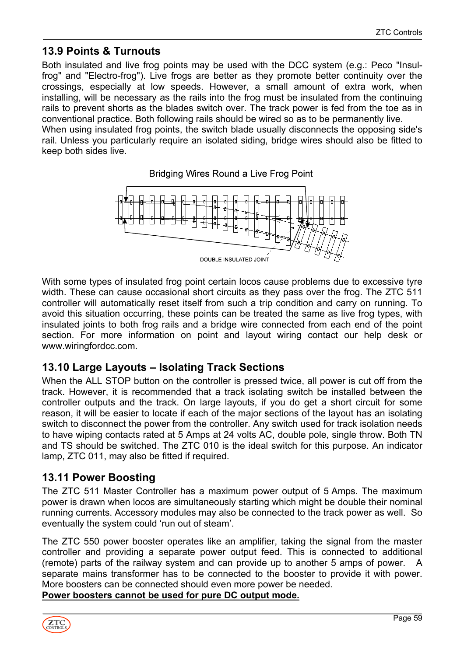# <span id="page-58-0"></span>**13.9 Points & Turnouts**

Both insulated and live frog points may be used with the DCC system (e.g.: Peco "Insulfrog" and "Electro-frog"). Live frogs are better as they promote better continuity over the crossings, especially at low speeds. However, a small amount of extra work, when installing, will be necessary as the rails into the frog must be insulated from the continuing rails to prevent shorts as the blades switch over. The track power is fed from the toe as in conventional practice. Both following rails should be wired so as to be permanently live. When using insulated frog points, the switch blade usually disconnects the opposing side's

rail. Unless you particularly require an isolated siding, bridge wires should also be fitted to keep both sides live.

**Bridging Wires Round a Live Frog Point** 



With some types of insulated frog point certain locos cause problems due to excessive tyre width. These can cause occasional short circuits as they pass over the frog. The ZTC 511 controller will automatically reset itself from such a trip condition and carry on running. To avoid this situation occurring, these points can be treated the same as live frog types, with insulated joints to both frog rails and a bridge wire connected from each end of the point section. For more information on point and layout wiring contact our help desk or www.wiringfordcc.com.

# <span id="page-58-1"></span>**13.10 Large Layouts – Isolating Track Sections**

When the ALL STOP button on the controller is pressed twice, all power is cut off from the track. However, it is recommended that a track isolating switch be installed between the controller outputs and the track. On large layouts, if you do get a short circuit for some reason, it will be easier to locate if each of the major sections of the layout has an isolating switch to disconnect the power from the controller. Any switch used for track isolation needs to have wiping contacts rated at 5 Amps at 24 volts AC, double pole, single throw. Both TN and TS should be switched. The ZTC 010 is the ideal switch for this purpose. An indicator lamp, ZTC 011, may also be fitted if required.

# <span id="page-58-2"></span>**13.11 Power Boosting**

The ZTC 511 Master Controller has a maximum power output of 5 Amps. The maximum power is drawn when locos are simultaneously starting which might be double their nominal running currents. Accessory modules may also be connected to the track power as well. So eventually the system could 'run out of steam'.

The ZTC 550 power booster operates like an amplifier, taking the signal from the master controller and providing a separate power output feed. This is connected to additional (remote) parts of the railway system and can provide up to another 5 amps of power. A separate mains transformer has to be connected to the booster to provide it with power. More boosters can be connected should even more power be needed.

**Power boosters cannot be used for pure DC output mode.**

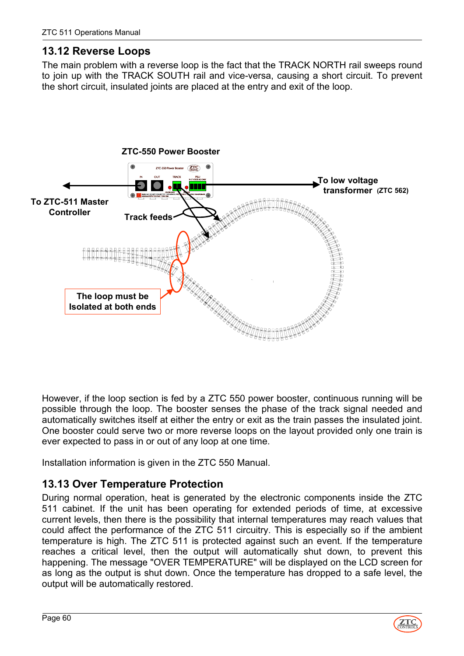# <span id="page-59-0"></span>**13.12 Reverse Loops**

The main problem with a reverse loop is the fact that the TRACK NORTH rail sweeps round to join up with the TRACK SOUTH rail and vice-versa, causing a short circuit. To prevent the short circuit, insulated joints are placed at the entry and exit of the loop.



However, if the loop section is fed by a ZTC 550 power booster, continuous running will be possible through the loop. The booster senses the phase of the track signal needed and automatically switches itself at either the entry or exit as the train passes the insulated joint. One booster could serve two or more reverse loops on the layout provided only one train is ever expected to pass in or out of any loop at one time.

Installation information is given in the ZTC 550 Manual.

# <span id="page-59-1"></span>**13.13 Over Temperature Protection**

During normal operation, heat is generated by the electronic components inside the ZTC 511 cabinet. If the unit has been operating for extended periods of time, at excessive current levels, then there is the possibility that internal temperatures may reach values that could affect the performance of the ZTC 511 circuitry. This is especially so if the ambient temperature is high. The ZTC 511 is protected against such an event. If the temperature reaches a critical level, then the output will automatically shut down, to prevent this happening. The message "OVER TEMPERATURE" will be displayed on the LCD screen for as long as the output is shut down. Once the temperature has dropped to a safe level, the output will be automatically restored.

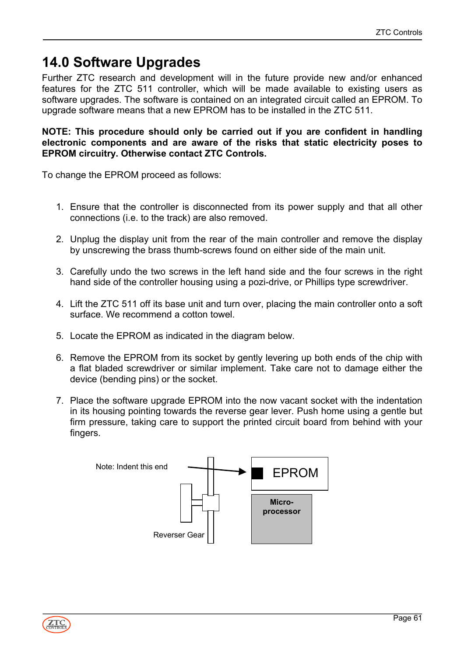# <span id="page-60-0"></span>**14.0 Software Upgrades**

Further ZTC research and development will in the future provide new and/or enhanced features for the ZTC 511 controller, which will be made available to existing users as software upgrades. The software is contained on an integrated circuit called an EPROM. To upgrade software means that a new EPROM has to be installed in the ZTC 511.

#### **NOTE: This procedure should only be carried out if you are confident in handling electronic components and are aware of the risks that static electricity poses to EPROM circuitry. Otherwise contact ZTC Controls.**

To change the EPROM proceed as follows:

- 1. Ensure that the controller is disconnected from its power supply and that all other connections (i.e. to the track) are also removed.
- 2. Unplug the display unit from the rear of the main controller and remove the display by unscrewing the brass thumb-screws found on either side of the main unit.
- 3. Carefully undo the two screws in the left hand side and the four screws in the right hand side of the controller housing using a pozi-drive, or Phillips type screwdriver.
- 4. Lift the ZTC 511 off its base unit and turn over, placing the main controller onto a soft surface. We recommend a cotton towel.
- 5. Locate the EPROM as indicated in the diagram below.
- 6. Remove the EPROM from its socket by gently levering up both ends of the chip with a flat bladed screwdriver or similar implement. Take care not to damage either the device (bending pins) or the socket.
- 7. Place the software upgrade EPROM into the now vacant socket with the indentation in its housing pointing towards the reverse gear lever. Push home using a gentle but firm pressure, taking care to support the printed circuit board from behind with your fingers.



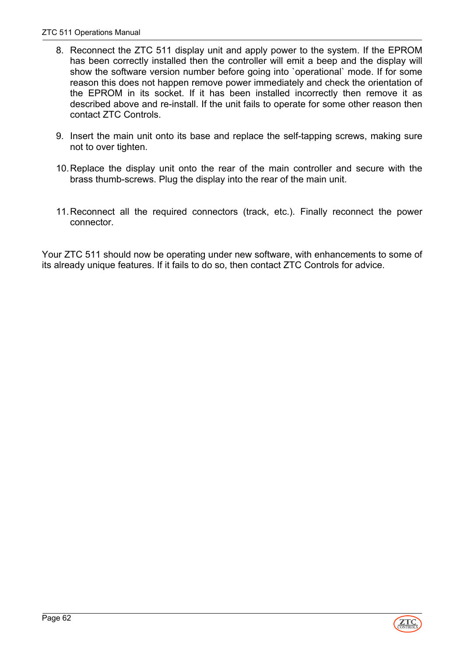- 8. Reconnect the ZTC 511 display unit and apply power to the system. If the EPROM has been correctly installed then the controller will emit a beep and the display will show the software version number before going into `operational` mode. If for some reason this does not happen remove power immediately and check the orientation of the EPROM in its socket. If it has been installed incorrectly then remove it as described above and re-install. If the unit fails to operate for some other reason then contact ZTC Controls.
- 9. Insert the main unit onto its base and replace the self-tapping screws, making sure not to over tighten.
- 10. Replace the display unit onto the rear of the main controller and secure with the brass thumb-screws. Plug the display into the rear of the main unit.
- 11. Reconnect all the required connectors (track, etc.). Finally reconnect the power connector.

Your ZTC 511 should now be operating under new software, with enhancements to some of its already unique features. If it fails to do so, then contact ZTC Controls for advice.

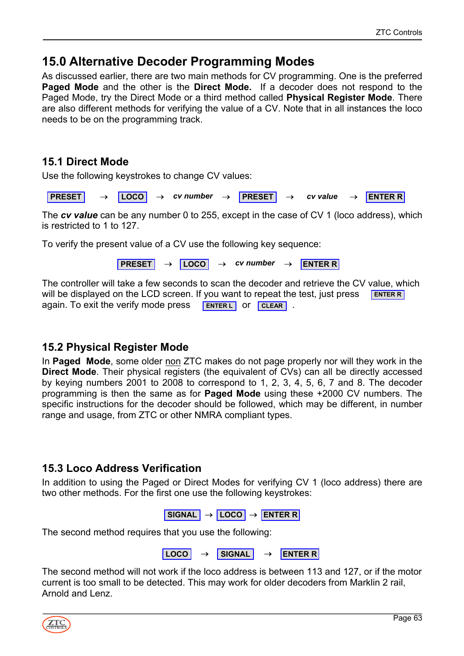# <span id="page-62-0"></span>**15.0 Alternative Decoder Programming Modes**

As discussed earlier, there are two main methods for CV programming. One is the preferred **Paged Mode** and the other is the **Direct Mode.** If a decoder does not respond to the Paged Mode, try the Direct Mode or a third method called **Physical Register Mode**. There are also different methods for verifying the value of a CV. Note that in all instances the loco needs to be on the programming track.

### <span id="page-62-1"></span>**15.1 Direct Mode**

Use the following keystrokes to change CV values:

**PRESET** → **LOCO** → *cv number* → **PRESET** → *cv value* → **ENTER R**

The *cv value* can be any number 0 to 255, except in the case of CV 1 (loco address), which is restricted to 1 to 127.

To verify the present value of a CV use the following key sequence:

**PRESET** → **LOCO** → *cv number* → **ENTER R**

The controller will take a few seconds to scan the decoder and retrieve the CV value, which will be displayed on the LCD screen. If you want to repeat the test, just press again. To exit the verify mode press **ENTER R ENTER L CLEAR**

# <span id="page-62-2"></span>**15.2 Physical Register Mode**

In **Paged Mode**, some older non ZTC makes do not page properly nor will they work in the **Direct Mode**. Their physical registers (the equivalent of CVs) can all be directly accessed by keying numbers 2001 to 2008 to correspond to 1, 2, 3, 4, 5, 6, 7 and 8. The decoder programming is then the same as for **Paged Mode** using these +2000 CV numbers. The specific instructions for the decoder should be followed, which may be different, in number range and usage, from ZTC or other NMRA compliant types.

# <span id="page-62-3"></span>**15.3 Loco Address Verification**

In addition to using the Paged or Direct Modes for verifying CV 1 (loco address) there are two other methods. For the first one use the following keystrokes:

$$
SIGNAL \rightarrow \boxed{\text{LOCO}} \rightarrow \boxed{\text{ENTER R}}
$$

The second method requires that you use the following:

```
LOCO → SIGNAL → ENTER R
```
The second method will not work if the loco address is between 113 and 127, or if the motor current is too small to be detected. This may work for older decoders from Marklin 2 rail, Arnold and Lenz.

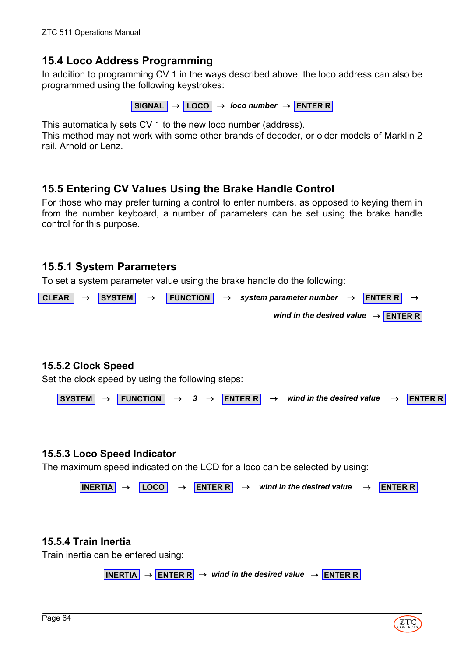### <span id="page-63-0"></span>**15.4 Loco Address Programming**

In addition to programming CV 1 in the ways described above, the loco address can also be programmed using the following keystrokes:

**SIGNAL** → **LOCO** → *loco number* → **ENTER R**

This automatically sets CV 1 to the new loco number (address).

This method may not work with some other brands of decoder, or older models of Marklin 2 rail, Arnold or Lenz.

### <span id="page-63-1"></span>**15.5 Entering CV Values Using the Brake Handle Control**

For those who may prefer turning a control to enter numbers, as opposed to keying them in from the number keyboard, a number of parameters can be set using the brake handle control for this purpose.

### <span id="page-63-2"></span>**15.5.1 System Parameters**

To set a system parameter value using the brake handle do the following:



#### <span id="page-63-3"></span>**15.5.2 Clock Speed**

Set the clock speed by using the following steps:



#### <span id="page-63-4"></span>**15.5.3 Loco Speed Indicator**

The maximum speed indicated on the LCD for a loco can be selected by using:

```
\vertINERTIA \rightarrow \vert LOCO \vert \rightarrow ENTER R \vert \rightarrow wind in the desired value \rightarrow ENTER R
```
#### <span id="page-63-5"></span>**15.5.4 Train Inertia**

Train inertia can be entered using:

 $\overline{\mathsf{INERTIA}}$   $\rightarrow$  **ENTER R**  $\rightarrow$  *wind in the desired value*  $\rightarrow$  **ENTER R** 

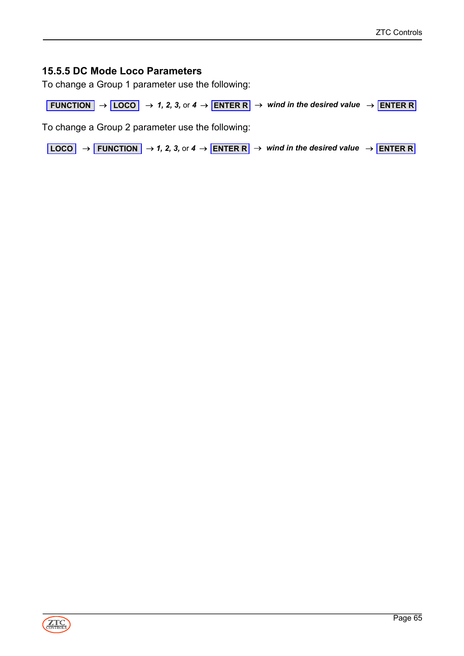#### <span id="page-64-0"></span>**15.5.5 DC Mode Loco Parameters**

To change a Group 1 parameter use the following:

**FUNCTION**  $\rightarrow$  **LOCO**  $\rightarrow$  1, 2, 3, or 4  $\rightarrow$  **ENTER R**  $\rightarrow$  *wind in the desired value*  $\rightarrow$  **ENTER R** 

To change a Group 2 parameter use the following:

**LOCO** → **FUNCTION** → *1, 2, 3, or 4* → **ENTER R** → *wind in the desired value* → **ENTER R**